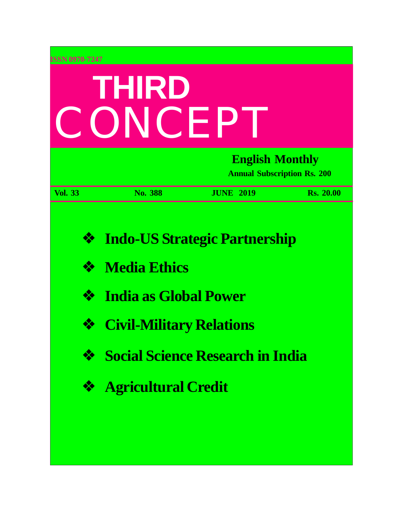| ISSN 0970-7247<br>THIRD<br>CONCEP |                                                                                                                      |                                                                                 |                  |  |  |
|-----------------------------------|----------------------------------------------------------------------------------------------------------------------|---------------------------------------------------------------------------------|------------------|--|--|
|                                   | <b>English Monthly</b><br><b>Annual Subscription Rs. 200</b>                                                         |                                                                                 |                  |  |  |
| <b>Vol. 33</b>                    | No. 388                                                                                                              | <b>JUNE 2019</b>                                                                | <b>Rs. 20.00</b> |  |  |
| ❖<br>❖<br>❖<br>❖<br>❖<br>❖        | <b>Media Ethics</b><br><b>India as Global Power</b><br><b>Civil-Military Relations</b><br><b>Agricultural Credit</b> | <b>Indo-US Strategic Partnership</b><br><b>Social Science Research in India</b> |                  |  |  |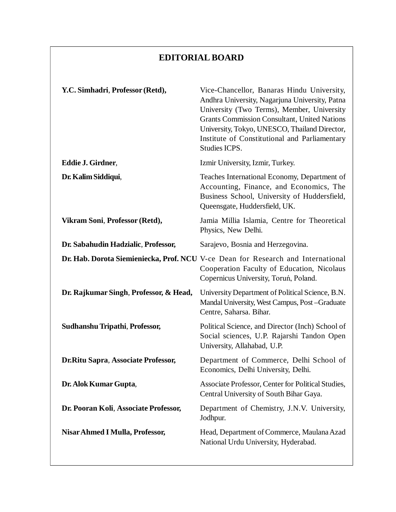### **EDITORIAL BOARD**

| Y.C. Simhadri, Professor (Retd),       | Vice-Chancellor, Banaras Hindu University,<br>Andhra University, Nagarjuna University, Patna<br>University (Two Terms), Member, University<br><b>Grants Commission Consultant, United Nations</b><br>University, Tokyo, UNESCO, Thailand Director,<br>Institute of Constitutional and Parliamentary<br>Studies ICPS. |  |  |
|----------------------------------------|----------------------------------------------------------------------------------------------------------------------------------------------------------------------------------------------------------------------------------------------------------------------------------------------------------------------|--|--|
| Eddie J. Girdner,                      | Izmir University, Izmir, Turkey.                                                                                                                                                                                                                                                                                     |  |  |
| Dr. Kalim Siddiqui,                    | Teaches International Economy, Department of<br>Accounting, Finance, and Economics, The<br>Business School, University of Huddersfield,<br>Queensgate, Huddersfield, UK.                                                                                                                                             |  |  |
| Vikram Soni, Professor (Retd),         | Jamia Millia Islamia, Centre for Theoretical<br>Physics, New Delhi.                                                                                                                                                                                                                                                  |  |  |
| Dr. Sabahudin Hadzialic, Professor,    | Sarajevo, Bosnia and Herzegovina.                                                                                                                                                                                                                                                                                    |  |  |
|                                        | Dr. Hab. Dorota Siemieniecka, Prof. NCU V-ce Dean for Research and International<br>Cooperation Faculty of Education, Nicolaus<br>Copernicus University, Toruń, Poland.                                                                                                                                              |  |  |
| Dr. Rajkumar Singh, Professor, & Head, | University Department of Political Science, B.N.<br>Mandal University, West Campus, Post-Graduate<br>Centre, Saharsa. Bihar.                                                                                                                                                                                         |  |  |
| Sudhanshu Tripathi, Professor,         | Political Science, and Director (Inch) School of<br>Social sciences, U.P. Rajarshi Tandon Open<br>University, Allahabad, U.P.                                                                                                                                                                                        |  |  |
| Dr.Ritu Sapra, Associate Professor,    | Department of Commerce, Delhi School of<br>Economics, Delhi University, Delhi.                                                                                                                                                                                                                                       |  |  |
| Dr. Alok Kumar Gupta,                  | Associate Professor, Center for Political Studies,<br>Central University of South Bihar Gaya.                                                                                                                                                                                                                        |  |  |
| Dr. Pooran Koli, Associate Professor,  | Department of Chemistry, J.N.V. University,<br>Jodhpur.                                                                                                                                                                                                                                                              |  |  |
| Nisar Ahmed I Mulla, Professor,        | Head, Department of Commerce, Maulana Azad<br>National Urdu University, Hyderabad.                                                                                                                                                                                                                                   |  |  |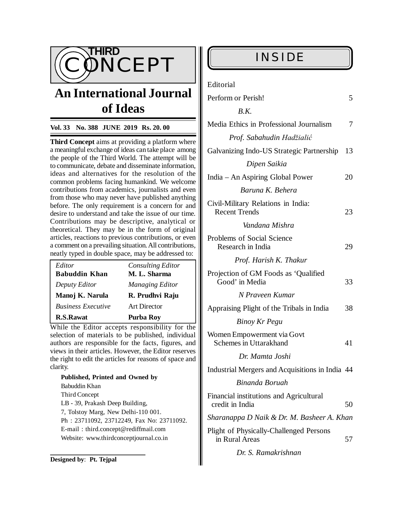

## **An International Journal of Ideas**

#### **Vol. 33 No. 388 JUNE 2019 Rs. 20. 00**

**Third Concept** aims at providing a platform where a meaningful exchange of ideas can take place among the people of the Third World. The attempt will be to communicate, debate and disseminate information, ideas and alternatives for the resolution of the common problems facing humankind. We welcome contributions from academics, journalists and even from those who may never have published anything before. The only requirement is a concern for and desire to understand and take the issue of our time. Contributions may be descriptive, analytical or theoretical. They may be in the form of original articles, reactions to previous contributions, or even a comment on a prevailing situation. All contributions, neatly typed in double space, may be addressed to:

| Editor                    | <b>Consulting Editor</b> |  |  |  |
|---------------------------|--------------------------|--|--|--|
| <b>Babuddin Khan</b>      | M. L. Sharma             |  |  |  |
| Deputy Editor             | Managing Editor          |  |  |  |
| Manoj K. Narula           | R. Prudhvi Raju          |  |  |  |
| <b>Business Executive</b> | <b>Art Director</b>      |  |  |  |
| <b>R.S.Rawat</b>          | <b>Purba Roy</b>         |  |  |  |

While the Editor accepts responsibility for the selection of materials to be published, individual authors are responsible for the facts, figures, and views in their articles. However, the Editor reserves the right to edit the articles for reasons of space and clarity.

**Published, Printed and Owned by** Babuddin Khan Third Concept LB - 39, Prakash Deep Building, 7, Tolstoy Marg, New Delhi-110 001. Ph : 23711092, 23712249, Fax No: 23711092. E-mail : [third.concept@rediffmail.com](mailto:third.concept@rediffmail.com) Website: [www.thirdconceptjournal.co.in](http://www.thirdconceptjournal.co.in)

| Editorial                                                        |    |
|------------------------------------------------------------------|----|
| Perform or Perish!                                               | 5  |
| R.K.                                                             |    |
| Media Ethics in Professional Journalism                          | 7  |
| Prof. Sabahudin Hadžialić                                        |    |
| Galvanizing Indo-US Strategic Partnership                        | 13 |
| Dipen Saikia                                                     |    |
| India – An Aspiring Global Power                                 | 20 |
| Baruna K. Behera                                                 |    |
| Civil-Military Relations in India:<br><b>Recent Trends</b>       | 23 |
| Vandana Mishra                                                   |    |
| <b>Problems of Social Science</b><br>Research in India           | 29 |
| Prof. Harish K. Thakur                                           |    |
| Projection of GM Foods as 'Qualified<br>Good' in Media           | 33 |
| N Praveen Kumar                                                  |    |
| Appraising Plight of the Tribals in India                        | 38 |
| Binoy Kr Pegu                                                    |    |
| Women Empowerment via Govt<br>Schemes in Uttarakhand             | 41 |
| Dr. Mamta Joshi                                                  |    |
| Industrial Mergers and Acquisitions in India 44                  |    |
| Binanda Boruah                                                   |    |
| Financial institutions and Agricultural<br>credit in India       | 50 |
| Sharanappa D Naik & Dr. M. Basheer A. Khan                       |    |
| <b>Plight of Physically-Challenged Persons</b><br>in Rural Areas | 57 |
|                                                                  |    |

 *Dr. S. Ramakrishnan*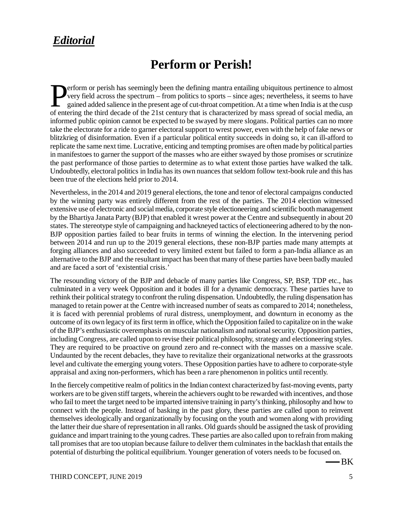### *Editorial*

### **Perform or Perish!**

**Example 18 Conserversy** field across the spectrum – from politics to sports – since ages; nevertheless, it seems to have gained added salience in the present age of cut-throat competition. At a time when India is at the c very field across the spectrum – from politics to sports – since ages; nevertheless, it seems to have gained added salience in the present age of cut-throat competition. At a time when India is at the cusp of entering the third decade of the 21st century that is characterized by mass spread of social media, an informed public opinion cannot be expected to be swayed by mere slogans. Political parties can no more take the electorate for a ride to garner electoral support to wrest power, even with the help of fake news or blitzkrieg of disinformation. Even if a particular political entity succeeds in doing so, it can ill-afford to replicate the same next time. Lucrative, enticing and tempting promises are often made by political parties in manifestoes to garner the support of the masses who are either swayed by those promises or scrutinize the past performance of those parties to determine as to what extent those parties have walked the talk. Undoubtedly, electoral politics in India has its own nuances that seldom follow text-book rule and this has been true of the elections held prior to 2014.

Nevertheless, in the 2014 and 2019 general elections, the tone and tenor of electoral campaigns conducted by the winning party was entirely different from the rest of the parties. The 2014 election witnessed extensive use of electronic and social media, corporate style electioneering and scientific booth management by the Bhartiya Janata Party (BJP) that enabled it wrest power at the Centre and subsequently in about 20 states. The stereotype style of campaigning and hackneyed tactics of electioneering adhered to by the non-BJP opposition parties failed to bear fruits in terms of winning the election. In the intervening period between 2014 and run up to the 2019 general elections, these non-BJP parties made many attempts at forging alliances and also succeeded to very limited extent but failed to form a pan-India alliance as an alternative to the BJP and the resultant impact has been that many of these parties have been badly mauled and are faced a sort of 'existential crisis.'

The resounding victory of the BJP and debacle of many parties like Congress, SP, BSP, TDP etc., has culminated in a very week Opposition and it bodes ill for a dynamic democracy. These parties have to rethink their political strategy to confront the ruling dispensation. Undoubtedly, the ruling dispensation has managed to retain power at the Centre with increased number of seats as compared to 2014; nonetheless, it is faced with perennial problems of rural distress, unemployment, and downturn in economy as the outcome of its own legacy of its first term in office, which the Opposition failed to capitalize on in the wake of the BJP's enthusiastic overemphasis on muscular nationalism and national security. Opposition parties, including Congress, are called upon to revise their political philosophy, strategy and electioneering styles. They are required to be proactive on ground zero and re-connect with the masses on a massive scale. Undaunted by the recent debacles, they have to revitalize their organizational networks at the grassroots level and cultivate the emerging young voters. These Opposition parties have to adhere to corporate-style appraisal and axing non-performers, which has been a rare phenomenon in politics until recently.

In the fiercely competitive realm of politics in the Indian context characterized by fast-moving events, party workers are to be given stiff targets, wherein the achievers ought to be rewarded with incentives, and those who fail to meet the target need to be imparted intensive training in party's thinking, philosophy and how to connect with the people. Instead of basking in the past glory, these parties are called upon to reinvent themselves ideologically and organizationally by focusing on the youth and women along with providing the latter their due share of representation in all ranks. Old guards should be assigned the task of providing guidance and impart training to the young cadres. These parties are also called upon to refrain from making tall promises that are too utopian because failure to deliver them culminates in the backlash that entails the potential of disturbing the political equilibrium. Younger generation of voters needs to be focused on.

-BK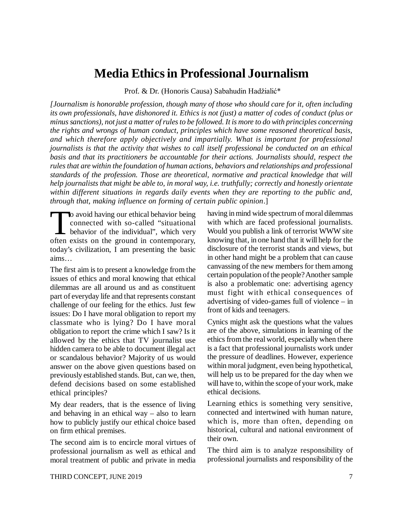### **Media Ethics in Professional Journalism**

Prof. & Dr. (Honoris Causa) Sabahudin Hadžialić\*

*[Journalism is honorable profession, though many of those who should care for it, often including its own professionals, have dishonored it. Ethics is not (just) a matter of codes of conduct (plus or minus sanctions), not just a matter of rules to be followed. It is more to do with principles concerning the rights and wrongs of human conduct, principles which have some reasoned theoretical basis, and which therefore apply objectively and impartially. What is important for professional journalists is that the activity that wishes to call itself professional be conducted on an ethical basis and that its practitioners be accountable for their actions. Journalists should, respect the rules that are within the foundation of human actions, behaviors and relationships and professional standards of the profession. Those are theoretical, normative and practical knowledge that will help journalists that might be able to, in moral way, i.e. truthfully; correctly and honestly orientate within different situations in regards daily events when they are reporting to the public and, through that, making influence on forming of certain public opinion*.]

The avoid having our ethical behavior being<br>connected with so-called "situational<br>behavior of the individual", which very<br>often exists on the ground in contemporary, o avoid having our ethical behavior being connected with so-called "situational behavior of the individual", which very today's civilization, I am presenting the basic aims…

The first aim is to present a knowledge from the issues of ethics and moral knowing that ethical dilemmas are all around us and as constituent part of everyday life and that represents constant challenge of our feeling for the ethics. Just few issues: Do I have moral obligation to report my classmate who is lying? Do I have moral obligation to report the crime which I saw? Is it allowed by the ethics that TV journalist use hidden camera to be able to document illegal act or scandalous behavior? Majority of us would answer on the above given questions based on previously established stands. But, can we, then, defend decisions based on some established ethical principles?

My dear readers, that is the essence of living and behaving in an ethical way – also to learn how to publicly justify our ethical choice based on firm ethical premises.

The second aim is to encircle moral virtues of professional journalism as well as ethical and moral treatment of public and private in media having in mind wide spectrum of moral dilemmas with which are faced professional journalists. Would you publish a link of terrorist WWW site knowing that, in one hand that it will help for the disclosure of the terrorist stands and views, but in other hand might be a problem that can cause canvassing of the new members for them among certain population of the people? Another sample is also a problematic one: advertising agency must fight with ethical consequences of advertising of video-games full of violence – in front of kids and teenagers.

Cynics might ask the questions what the values are of the above, simulations in learning of the ethics from the real world, especially when there is a fact that professional journalists work under the pressure of deadlines. However, experience within moral judgment, even being hypothetical, will help us to be prepared for the day when we will have to, within the scope of your work, make ethical decisions.

Learning ethics is something very sensitive, connected and intertwined with human nature, which is, more than often, depending on historical, cultural and national environment of their own.

The third aim is to analyze responsibility of professional journalists and responsibility of the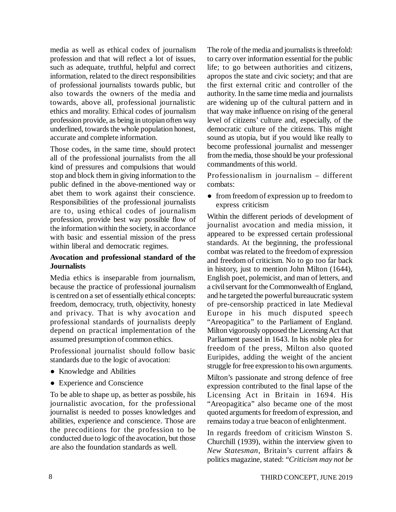media as well as ethical codex of journalism profession and that will reflect a lot of issues, such as adequate, truthful, helpful and correct information, related to the direct responsibilities of professional journalists towards public, but also towards the owners of the media and towards, above all, professional journalistic ethics and morality. Ethical codes of journalism profession provide, as being in utopian often way underlined, towards the whole population honest, accurate and complete information.

Those codes, in the same time, should protect all of the professional journalists from the all kind of pressures and compulsions that would stop and block them in giving information to the public defined in the above-mentioned way or abet them to work against their conscience. Responsibilities of the professional journalists are to, using ethical codes of journalism profession, provide best way possible flow of the information within the society, in accordance with basic and essential mission of the press within liberal and democratic regimes.

#### **Avocation and professional standard of the Journalists**

Media ethics is inseparable from journalism, because the practice of professional journalism is centred on a set of essentially ethical concepts: freedom, democracy, truth, objectivity, honesty and privacy. That is why avocation and professional standards of journalists deeply depend on practical implementation of the assumed presumption of common ethics.

Professional journalist should follow basic standards due to the logic of avocation:

- Knowledge and Abilities
- Experience and Conscience

To be able to shape up, as better as possbile, his journalistic avocation, for the professional journalist is needed to posses knowledges and abilities, experience and conscience. Those are the precoditions for the profession to be conducted due to logic of the avocation, but those are also the foundation standards as well.

The role of the media and journalists is threefold: to carry over information essential for the public life; to go between authorities and citizens, apropos the state and civic society; and that are the first external critic and controller of the authority. In the same time media and journalists are widening up of the cultural pattern and in that way make influence on rising of the general level of citizens' culture and, especially, of the democratic culture of the citizens. This might sound as utopia, but if you would like really to become professional journalist and messenger from the media, those should be your professional commandments of this world.

Professionalism in journalism – different combats:

• from freedom of expression up to freedom to express criticism

Within the different periods of development of journalist avocation and media mission, it appeared to be expressed certain professional standards. At the beginning, the professional combat was related to the freedom of expression and freedom of criticism. No to go too far back in history, just to mention John Milton (1644), English poet, polemicist, and man of letters, and a civil servant for the Commonwealth of England, and he targeted the powerful bureaucratic system of pre-censorship practiced in late Medieval Europe in his much disputed speech "Areopagitica" to the Parliament of England. Milton vigorously opposed the Licensing Act that Parliament passed in 1643. In his noble plea for freedom of the press, Milton also quoted Euripides, adding the weight of the ancient struggle for free expression to his own arguments.

Milton's passionate and strong defence of free expression contributed to the final lapse of the Licensing Act in Britain in 1694. His "Areopagitica" also became one of the most quoted arguments for freedom of expression, and remains today a true beacon of enlightenment.

In regards freedom of criticism Winston S. Churchill (1939), within the interview given to *New Statesman*, Britain's current affairs & politics magazine, stated: "*Criticism may not be*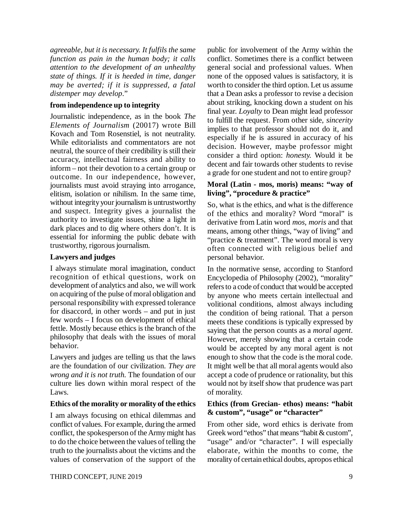*agreeable, but it is necessary. It fulfils the same function as pain in the human body; it calls attention to the development of an unhealthy state of things. If it is heeded in time, danger may be averted; if it is suppressed, a fatal distemper may develop*."

#### **from independence up to integrity**

Journalistic independence, as in the book *The Elements of Journalism* (20017) wrote Bill Kovach and Tom Rosenstiel, is not neutrality. While editorialists and commentators are not neutral, the source of their credibility is still their accuracy, intellectual fairness and ability to inform – not their devotion to a certain group or outcome. In our independence, however, journalists must avoid straying into arrogance, elitism, isolation or nihilism. In the same time, without integrity your journalism is untrustworthy and suspect. Integrity gives a journalist the authority to investigate issues, shine a light in dark places and to dig where others don't. It is essential for informing the public debate with trustworthy, rigorous journalism.

#### **Lawyers and judges**

I always stimulate moral imagination, conduct recognition of ethical questions, work on development of analytics and also, we will work on acquiring of the pulse of moral obligation and personal responsibility with expressed tolerance for disaccord, in other words – and put in just few words – I focus on development of ethical fettle. Mostly because ethics is the branch of the philosophy that deals with the issues of moral behavior.

Lawyers and judges are telling us that the laws are the foundation of our civilization. *They are wrong and it is not truth.* The foundation of our culture lies down within moral respect of the Laws.

#### **Ethics of the morality or morality of the ethics**

I am always focusing on ethical dilemmas and conflict of values. For example, during the armed conflict, the spokesperson of the Army might has to do the choice between the values of telling the truth to the journalists about the victims and the values of conservation of the support of the public for involvement of the Army within the conflict. Sometimes there is a conflict between general social and professional values. When none of the opposed values is satisfactory, it is worth to consider the third option. Let us assume that a Dean asks a professor to revise a decision about striking, knocking down a student on his final year. *Loyalty* to Dean might lead professor to fulfill the request. From other side, *sincerity* implies to that professor should not do it, and especially if he is assured in accuracy of his decision. However, maybe professor might consider a third option: *honesty.* Would it be decent and fair towards other students to revise a grade for one student and not to entire group?

#### **Moral (Latin - mos, moris) means: "way of living", "procedure & practice"**

So, what is the ethics, and what is the difference of the ethics and morality? Word "moral" is derivative from Latin word *mos, moris* and that means, among other things, "way of living" and "practice & treatment". The word moral is very often connected with religious belief and personal behavior.

In the normative sense, according to Stanford Encyclopedia of Philosophy (2002), "morality" refers to a code of conduct that would be accepted by anyone who meets certain intellectual and volitional conditions, almost always including the condition of being rational. That a person meets these conditions is typically expressed by saying that the person counts as a *moral agent*. However, merely showing that a certain code would be accepted by any moral agent is not enough to show that the code is the moral code. It might well be that all moral agents would also accept a code of prudence or rationality, but this would not by itself show that prudence was part of morality.

#### **Ethics (from Grecian- ethos) means: "habit & custom", "usage" or "character"**

From other side, word ethics is derivate from Greek word "ethos" that means "habit & custom", "usage" and/or "character". I will especially elaborate, within the months to come, the morality of certain ethical doubts, apropos ethical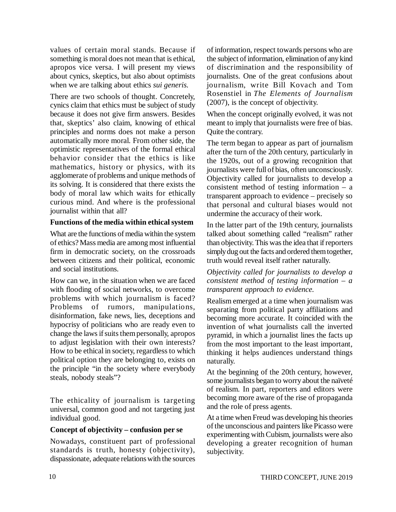values of certain moral stands. Because if something is moral does not mean that is ethical, apropos vice versa. I will present my views about cynics, skeptics, but also about optimists when we are talking about ethics *sui generis.*

There are two schools of thought. Concretely, cynics claim that ethics must be subject of study because it does not give firm answers. Besides that, skeptics' also claim, knowing of ethical principles and norms does not make a person automatically more moral. From other side, the optimistic representatives of the formal ethical behavior consider that the ethics is like mathematics, history or physics, with its agglomerate of problems and unique methods of its solving. It is considered that there exists the body of moral law which waits for ethically curious mind. And where is the professional journalist within that all?

#### **Functions of the media within ethical system**

What are the functions of media within the system of ethics? Mass media are among most influential firm in democratic society, on the crossroads between citizens and their political, economic and social institutions.

How can we, in the situation when we are faced with flooding of social networks, to overcome problems with which journalism is faced? Problems of rumors, manipulations, disinformation, fake news, lies, deceptions and hypocrisy of politicians who are ready even to change the laws if suits them personally, apropos to adjust legislation with their own interests? How to be ethical in society, regardless to which political option they are belonging to, exists on the principle "in the society where everybody steals, nobody steals"?

The ethicality of journalism is targeting universal, common good and not targeting just individual good.

#### **Concept of objectivity – confusion per se**

Nowadays, constituent part of professional standards is truth, honesty (objectivity), dispassionate, adequate relations with the sources

of information, respect towards persons who are the subject of information, elimination of any kind of discrimination and the responsibility of journalists. One of the great confusions about journalism, write Bill Kovach and Tom Rosenstiel in *The Elements of Journalism* (2007), is the concept of objectivity.

When the concept originally evolved, it was not meant to imply that journalists were free of bias. Quite the contrary.

The term began to appear as part of journalism after the turn of the 20th century, particularly in the 1920s, out of a growing recognition that journalists were full of bias, often unconsciously. Objectivity called for journalists to develop a consistent method of testing information – a transparent approach to evidence – precisely so that personal and cultural biases would not undermine the accuracy of their work.

In the latter part of the 19th century, journalists talked about something called "realism" rather than objectivity. This was the idea that if reporters simply dug out the facts and ordered them together, truth would reveal itself rather naturally.

#### *Objectivity called for journalists to develop a consistent method of testing information – a transparent approach to evidence.*

Realism emerged at a time when journalism was separating from political party affiliations and becoming more accurate. It coincided with the invention of what journalists call the inverted pyramid, in which a journalist lines the facts up from the most important to the least important, thinking it helps audiences understand things naturally.

At the beginning of the 20th century, however, some journalists began to worry about the naïveté of realism. In part, reporters and editors were becoming more aware of the rise of propaganda and the role of press agents.

At a time when Freud was developing his theories of the unconscious and painters like Picasso were experimenting with Cubism, journalists were also developing a greater recognition of human subjectivity.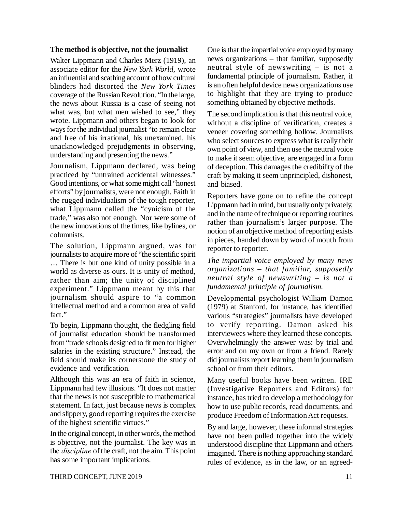#### **The method is objective, not the journalist**

Walter Lippmann and Charles Merz (1919), an associate editor for the *New York World*, wrote an influential and scathing account of how cultural blinders had distorted the *New York Times* coverage of the Russian Revolution. "In the large, the news about Russia is a case of seeing not what was, but what men wished to see," they wrote. Lippmann and others began to look for ways for the individual journalist "to remain clear and free of his irrational, his unexamined, his unacknowledged prejudgments in observing, understanding and presenting the news."

Journalism, Lippmann declared, was being practiced by "untrained accidental witnesses." Good intentions, or what some might call "honest efforts" by journalists, were not enough. Faith in the rugged individualism of the tough reporter, what Lippmann called the "cynicism of the trade," was also not enough. Nor were some of the new innovations of the times, like bylines, or columnists.

The solution, Lippmann argued, was for journalists to acquire more of "the scientific spirit … There is but one kind of unity possible in a world as diverse as ours. It is unity of method, rather than aim; the unity of disciplined experiment." Lippmann meant by this that journalism should aspire to "a common intellectual method and a common area of valid fact."

To begin, Lippmann thought, the fledgling field of journalist education should be transformed from "trade schools designed to fit men for higher salaries in the existing structure." Instead, the field should make its cornerstone the study of evidence and verification.

Although this was an era of faith in science, Lippmann had few illusions. "It does not matter that the news is not susceptible to mathematical statement. In fact, just because news is complex and slippery, good reporting requires the exercise of the highest scientific virtues."

In the original concept, in other words, the method is objective, not the journalist. The key was in the *discipline* of the craft, not the aim. This point has some important implications.

One is that the impartial voice employed by many news organizations – that familiar, supposedly neutral style of newswriting – is not a fundamental principle of journalism. Rather, it is an often helpful device news organizations use to highlight that they are trying to produce something obtained by objective methods.

The second implication is that this neutral voice, without a discipline of verification, creates a veneer covering something hollow. Journalists who select sources to express what is really their own point of view, and then use the neutral voice to make it seem objective, are engaged in a form of deception. This damages the credibility of the craft by making it seem unprincipled, dishonest, and biased.

Reporters have gone on to refine the concept Lippmann had in mind, but usually only privately, and in the name of technique or reporting routines rather than journalism's larger purpose. The notion of an objective method of reporting exists in pieces, handed down by word of mouth from reporter to reporter.

*The impartial voice employed by many news organizations – that familiar, supposedly neutral style of newswriting – is not a fundamental principle of journalism.*

Developmental psychologist William Damon (1979) at Stanford, for instance, has identified various "strategies" journalists have developed to verify reporting. Damon asked his interviewees where they learned these concepts. Overwhelmingly the answer was: by trial and error and on my own or from a friend. Rarely did journalists report learning them in journalism school or from their editors.

Many useful books have been written. IRE (Investigative Reporters and Editors) for instance, has tried to develop a methodology for how to use public records, read documents, and produce Freedom of Information Act requests.

By and large, however, these informal strategies have not been pulled together into the widely understood discipline that Lippmann and others imagined. There is nothing approaching standard rules of evidence, as in the law, or an agreed-

THIRD CONCEPT, JUNE 2019 11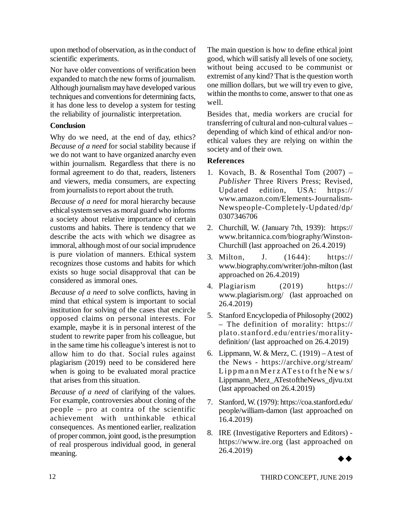upon method of observation, as in the conduct of scientific experiments.

Nor have older conventions of verification been expanded to match the new forms of journalism. Although journalism may have developed various techniques and conventions for determining facts, it has done less to develop a system for testing the reliability of journalistic interpretation.

#### **Conclusion**

Why do we need, at the end of day, ethics? *Because of a need* for social stability because if we do not want to have organized anarchy even within journalism. Regardless that there is no formal agreement to do that, readers, listeners and viewers, media consumers, are expecting from journalists to report about the truth.

*Because of a need* for moral hierarchy because ethical system serves as moral guard who informs a society about relative importance of certain customs and habits. There is tendency that we describe the acts with which we disagree as immoral, although most of our social imprudence is pure violation of manners. Ethical system recognizes those customs and habits for which exists so huge social disapproval that can be considered as immoral ones.

*Because of a need* to solve conflicts, having in mind that ethical system is important to social institution for solving of the cases that encircle opposed claims on personal interests. For example, maybe it is in personal interest of the student to rewrite paper from his colleague, but in the same time his colleague's interest is not to allow him to do that. Social rules against plagiarism (2019) need to be considered here when is going to be evaluated moral practice that arises from this situation.

*Because of a need* of clarifying of the values. For example, controversies about cloning of the people – pro at contra of the scientific achievement with unthinkable ethical consequences. As mentioned earlier, realization of proper common, joint good, is the presumption of real prosperous individual good, in general meaning.

The main question is how to define ethical joint good, which will satisfy all levels of one society, without being accused to be communist or extremist of any kind? That is the question worth one million dollars, but we will try even to give, within the months to come, answer to that one as well.

Besides that, media workers are crucial for transferring of cultural and non-cultural values – depending of which kind of ethical and/or nonethical values they are relying on within the society and of their own.

#### **References**

- 1. Kovach, B. & Rosenthal Tom (2007) *– Publisher* Three Rivers Press; Revised, Updated edition, USA: https:// [www.amazon.com/Elements-Journalism-](http://www.amazon.com/Elements-Journalism-)Newspeople-Completely-Updated/dp/ 0307346706
- 2. Churchill, W. (January 7th, 1939): <https://> [www.britannica.com/biography/Winston-](http://www.britannica.com/biography/Winston-)Churchill (last approached on 26.4.2019)
- 3. Milton, J. (1644): https:// [www.biography.com/writer/john-milton](http://www.biography.com/writer/john-milton) (last approached on 26.4.2019)
- 4. Plagiarism (2019) https:// [www.plagiarism.org/](http://www.plagiarism.org/) (last approached on 26.4.2019)
- 5. Stanford Encyclopedia of Philosophy (2002) – The definition of morality: https:// plato.stanford.edu/entries/moralitydefinition/ (last approached on 26.4.2019)
- 6. Lippmann, W. & Merz, C. (1919) A test of the News - https://archive.org/stream/  $Lippmann MerzATest of the News/$ Lippmann\_Merz\_ATestoftheNews\_djvu.txt (last approached on 26.4.2019)
- 7. Stanford, W. (1979):<https://coa.stanford.edu/> people/william-damon (last approached on 16.4.2019)
- 8. IRE (Investigative Reporters and Editors) <https://www.ire.org>(last approached on 26.4.2019)

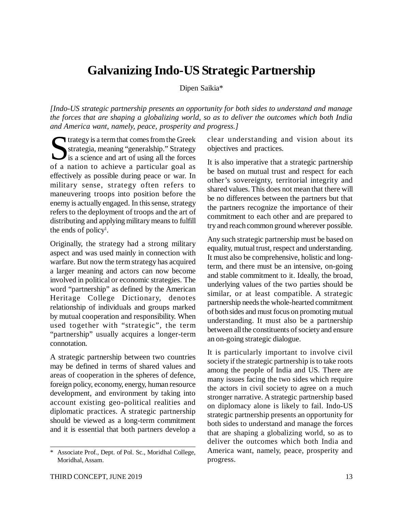### **Galvanizing Indo-US Strategic Partnership**

Dipen Saikia\*

*[Indo-US strategic partnership presents an opportunity for both sides to understand and manage the forces that are shaping a globalizing world, so as to deliver the outcomes which both India and America want, namely, peace, prosperity and progress.]*

Strategy is a term that comes from the Greek<br>
strategia, meaning "generalship." Strategy<br>
is a science and art of using all the forces strategia, meaning "generalship." Strategy is a science and art of using all the forces of a nation to achieve a particular goal as effectively as possible during peace or war. In military sense, strategy often refers to maneuvering troops into position before the enemy is actually engaged. In this sense, strategy refers to the deployment of troops and the art of distributing and applying military means to fulfill the ends of policy<sup>1</sup>.

Originally, the strategy had a strong military aspect and was used mainly in connection with warfare. But now the term strategy has acquired a larger meaning and actors can now become involved in political or economic strategies. The word "partnership" as defined by the American Heritage College Dictionary, denotes relationship of individuals and groups marked by mutual cooperation and responsibility. When used together with "strategic", the term "partnership" usually acquires a longer-term connotation.

A strategic partnership between two countries may be defined in terms of shared values and areas of cooperation in the spheres of defence, foreign policy, economy, energy, human resource development, and environment by taking into account existing geo-political realities and diplomatic practices. A strategic partnership should be viewed as a long-term commitment and it is essential that both partners develop a clear understanding and vision about its objectives and practices.

It is also imperative that a strategic partnership be based on mutual trust and respect for each other's sovereignty, territorial integrity and shared values. This does not mean that there will be no differences between the partners but that the partners recognize the importance of their commitment to each other and are prepared to try and reach common ground wherever possible.

Any such strategic partnership must be based on equality, mutual trust, respect and understanding. It must also be comprehensive, holistic and longterm, and there must be an intensive, on-going and stable commitment to it. Ideally, the broad, underlying values of the two parties should be similar, or at least compatible. A strategic partnership needs the whole-hearted commitment of both sides and must focus on promoting mutual understanding. It must also be a partnership between all the constituents of society and ensure an on-going strategic dialogue.

It is particularly important to involve civil society if the strategic partnership is to take roots among the people of India and US. There are many issues facing the two sides which require the actors in civil society to agree on a much stronger narrative. A strategic partnership based on diplomacy alone is likely to fail. Indo-US strategic partnership presents an opportunity for both sides to understand and manage the forces that are shaping a globalizing world, so as to deliver the outcomes which both India and America want, namely, peace, prosperity and progress.

Associate Prof., Dept. of Pol. Sc., Moridhal College, Moridhal, Assam.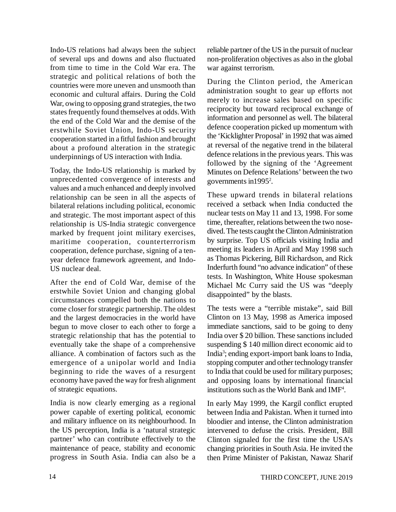Indo-US relations had always been the subject of several ups and downs and also fluctuated from time to time in the Cold War era. The strategic and political relations of both the countries were more uneven and unsmooth than economic and cultural affairs. During the Cold War, owing to opposing grand strategies, the two states frequently found themselves at odds. With the end of the Cold War and the demise of the erstwhile Soviet Union, Indo-US security cooperation started in a fitful fashion and brought about a profound alteration in the strategic underpinnings of US interaction with India.

Today, the Indo-US relationship is marked by unprecedented convergence of interests and values and a much enhanced and deeply involved relationship can be seen in all the aspects of bilateral relations including political, economic and strategic. The most important aspect of this relationship is US-India strategic convergence marked by frequent joint military exercises, maritime cooperation, counterterrorism cooperation, defence purchase, signing of a tenyear defence framework agreement, and Indo-US nuclear deal.

After the end of Cold War, demise of the erstwhile Soviet Union and changing global circumstances compelled both the nations to come closer for strategic partnership. The oldest and the largest democracies in the world have begun to move closer to each other to forge a strategic relationship that has the potential to eventually take the shape of a comprehensive alliance. A combination of factors such as the emergence of a unipolar world and India beginning to ride the waves of a resurgent economy have paved the way for fresh alignment of strategic equations.

India is now clearly emerging as a regional power capable of exerting political, economic and military influence on its neighbourhood. In the US perception, India is a 'natural strategic partner' who can contribute effectively to the maintenance of peace, stability and economic progress in South Asia. India can also be a reliable partner of the US in the pursuit of nuclear non-proliferation objectives as also in the global war against terrorism.

During the Clinton period, the American administration sought to gear up efforts not merely to increase sales based on specific reciprocity but toward reciprocal exchange of information and personnel as well. The bilateral defence cooperation picked up momentum with the 'Kicklighter Proposal' in 1992 that was aimed at reversal of the negative trend in the bilateral defence relations in the previous years. This was followed by the signing of the 'Agreement Minutes on Defence Relations' between the two governments in1995<sup>2</sup> .

These upward trends in bilateral relations received a setback when India conducted the nuclear tests on May 11 and 13, 1998. For some time, thereafter, relations between the two nosedived. The tests caught the Clinton Administration by surprise. Top US officials visiting India and meeting its leaders in April and May 1998 such as Thomas Pickering, Bill Richardson, and Rick Inderfurth found "no advance indication" of these tests. In Washington, White House spokesman Michael Mc Curry said the US was "deeply disappointed" by the blasts.

The tests were a "terrible mistake", said Bill Clinton on 13 May, 1998 as America imposed immediate sanctions, said to be going to deny India over \$ 20 billion. These sanctions included suspending \$ 140 million direct economic aid to India<sup>3</sup> ; ending export-import bank loans to India, stopping computer and other technology transfer to India that could be used for military purposes; and opposing loans by international financial institutions such as the World Bank and IMF<sup>4</sup> .

In early May 1999, the Kargil conflict erupted between India and Pakistan. When it turned into bloodier and intense, the Clinton administration intervened to defuse the crisis. President, Bill Clinton signaled for the first time the USA's changing priorities in South Asia. He invited the then Prime Minister of Pakistan, Nawaz Sharif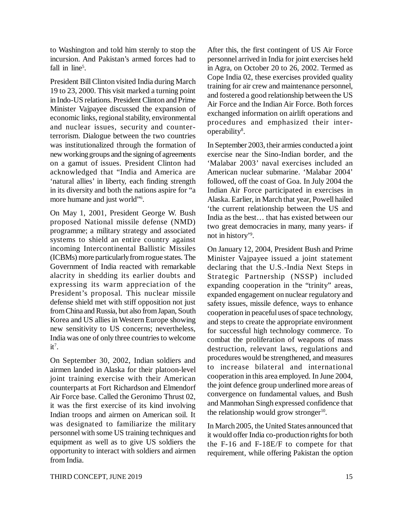to Washington and told him sternly to stop the incursion. And Pakistan's armed forces had to fall in line<sup>5</sup>.

President Bill Clinton visited India during March 19 to 23, 2000. This visit marked a turning point in Indo-US relations. President Clinton and Prime Minister Vajpayee discussed the expansion of economic links, regional stability, environmental and nuclear issues, security and counterterrorism. Dialogue between the two countries was institutionalized through the formation of new working groups and the signing of agreements on a gamut of issues. President Clinton had acknowledged that "India and America are 'natural allies' in liberty, each finding strength in its diversity and both the nations aspire for "a more humane and just world"<sup>6</sup>.

On May 1, 2001, President George W. Bush proposed National missile defense (NMD) programme; a military strategy and associated systems to shield an entire country against incoming Intercontinental Ballistic Missiles (ICBMs) more particularly from rogue states. The Government of India reacted with remarkable alacrity in shedding its earlier doubts and expressing its warm appreciation of the President's proposal. This nuclear missile defense shield met with stiff opposition not just from China and Russia, but also from Japan, South Korea and US allies in Western Europe showing new sensitivity to US concerns; nevertheless, India was one of only three countries to welcome  $it^7$ .

On September 30, 2002, Indian soldiers and airmen landed in Alaska for their platoon-level joint training exercise with their American counterparts at Fort Richardson and Elmendorf Air Force base. Called the Geronimo Thrust 02, it was the first exercise of its kind involving Indian troops and airmen on American soil. It was designated to familiarize the military personnel with some US training techniques and equipment as well as to give US soldiers the opportunity to interact with soldiers and airmen from India.

After this, the first contingent of US Air Force personnel arrived in India for joint exercises held in Agra, on October 20 to 26, 2002. Termed as Cope India 02, these exercises provided quality training for air crew and maintenance personnel, and fostered a good relationship between the US Air Force and the Indian Air Force. Both forces exchanged information on airlift operations and procedures and emphasized their interoperability<sup>8</sup>.

In September 2003, their armies conducted a joint exercise near the Sino-Indian border, and the 'Malabar 2003' naval exercises included an American nuclear submarine. 'Malabar 2004' followed, off the coast of Goa. In July 2004 the Indian Air Force participated in exercises in Alaska. Earlier, in March that year, Powell hailed 'the current relationship between the US and India as the best… that has existed between our two great democracies in many, many years- if not in history'<sup>9</sup> .

On January 12, 2004, President Bush and Prime Minister Vajpayee issued a joint statement declaring that the U.S.-India Next Steps in Strategic Partnership (NSSP) included expanding cooperation in the "trinity" areas, expanded engagement on nuclear regulatory and safety issues, missile defence, ways to enhance cooperation in peaceful uses of space technology, and steps to create the appropriate environment for successful high technology commerce. To combat the proliferation of weapons of mass destruction, relevant laws, regulations and procedures would be strengthened, and measures to increase bilateral and international cooperation in this area employed. In June 2004, the joint defence group underlined more areas of convergence on fundamental values, and Bush and Manmohan Singh expressed confidence that the relationship would grow stronger<sup>10</sup>.

In March 2005, the United States announced that it would offer India co-production rights for both the F-16 and F-18E/F to compete for that requirement, while offering Pakistan the option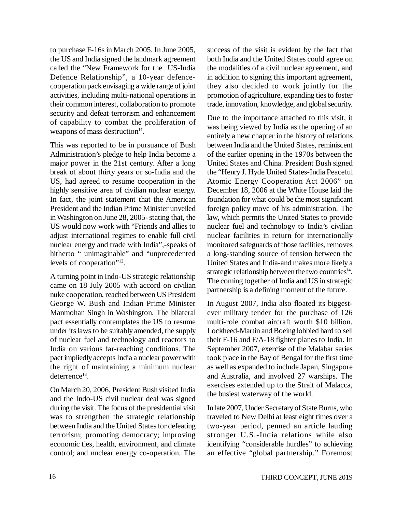to purchase F-16s in March 2005. In June 2005, the US and India signed the landmark agreement called the "New Framework for the US-India Defence Relationship", a 10-year defencecooperation pack envisaging a wide range of joint activities, including multi-national operations in their common interest, collaboration to promote security and defeat terrorism and enhancement of capability to combat the proliferation of weapons of mass destruction $11$ .

This was reported to be in pursuance of Bush Administration's pledge to help India become a major power in the 21st century. After a long break of about thirty years or so-India and the US, had agreed to resume cooperation in the highly sensitive area of civilian nuclear energy. In fact, the joint statement that the American President and the Indian Prime Minister unveiled in Washington on June 28, 2005- stating that, the US would now work with "Friends and allies to adjust international regimes to enable full civil nuclear energy and trade with India",-speaks of hitherto " unimaginable" and "unprecedented levels of cooperation"<sup>12</sup>.

A turning point in Indo-US strategic relationship came on 18 July 2005 with accord on civilian nuke cooperation, reached between US President George W. Bush and Indian Prime Minister Manmohan Singh in Washington. The bilateral pact essentially contemplates the US to resume under its laws to be suitably amended, the supply of nuclear fuel and technology and reactors to India on various far-reaching conditions. The pact impliedly accepts India a nuclear power with the right of maintaining a minimum nuclear deterrence<sup>13</sup>.

On March 20, 2006, President Bush visited India and the Indo-US civil nuclear deal was signed during the visit. The focus of the presidential visit was to strengthen the strategic relationship between India and the United States for defeating terrorism; promoting democracy; improving economic ties, health, environment, and climate control; and nuclear energy co-operation. The success of the visit is evident by the fact that both India and the United States could agree on the modalities of a civil nuclear agreement, and in addition to signing this important agreement, they also decided to work jointly for the promotion of agriculture, expanding ties to foster trade, innovation, knowledge, and global security.

Due to the importance attached to this visit, it was being viewed by India as the opening of an entirely a new chapter in the history of relations between India and the United States, reminiscent of the earlier opening in the 1970s between the United States and China. President Bush signed the "Henry J. Hyde United States-India Peaceful Atomic Energy Cooperation Act 2006" on December 18, 2006 at the White House laid the foundation for what could be the most significant foreign policy move of his administration. The law, which permits the United States to provide nuclear fuel and technology to India's civilian nuclear facilities in return for internationally monitored safeguards of those facilities, removes a long-standing source of tension between the United States and India-and makes more likely a strategic relationship between the two countries<sup>14</sup>. The coming together of India and US in strategic partnership is a defining moment of the future.

In August 2007, India also floated its biggestever military tender for the purchase of 126 multi-role combat aircraft worth \$10 billion. Lockheed-Martin and Boeing lobbied hard to sell their F-16 and F/A-18 fighter planes to India. In September 2007, exercise of the Malabar series took place in the Bay of Bengal for the first time as well as expanded to include Japan, Singapore and Australia, and involved 27 warships. The exercises extended up to the Strait of Malacca, the busiest waterway of the world.

In late 2007, Under Secretary of State Burns, who traveled to New Delhi at least eight times over a two-year period, penned an article lauding stronger U.S.-India relations while also identifying "considerable hurdles" to achieving an effective "global partnership." Foremost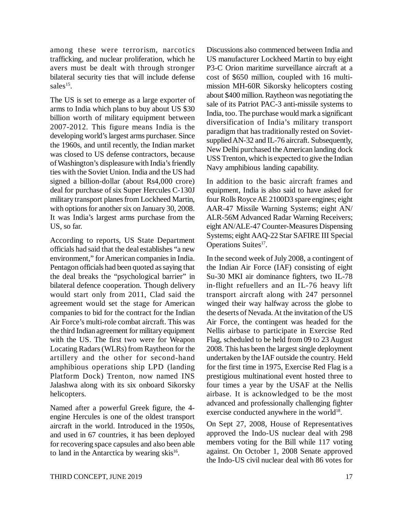among these were terrorism, narcotics trafficking, and nuclear proliferation, which he avers must be dealt with through stronger bilateral security ties that will include defense sales<sup>15</sup>.

The US is set to emerge as a large exporter of arms to India which plans to buy about US \$30 billion worth of military equipment between 2007-2012. This figure means India is the developing world's largest arms purchaser. Since the 1960s, and until recently, the Indian market was closed to US defense contractors, because of Washington's displeasure with India's friendly ties with the Soviet Union. India and the US had signed a billion-dollar (about Rs4,000 crore) deal for purchase of six Super Hercules C-130J military transport planes from Lockheed Martin, with options for another six on January 30, 2008. It was India's largest arms purchase from the US, so far.

According to reports, US State Department officials had said that the deal establishes "a new environment," for American companies in India. Pentagon officials had been quoted as saying that the deal breaks the "psychological barrier" in bilateral defence cooperation. Though delivery would start only from 2011, Clad said the agreement would set the stage for American companies to bid for the contract for the Indian Air Force's multi-role combat aircraft. This was the third Indian agreement for military equipment with the US. The first two were for Weapon Locating Radars (WLRs) from Raytheon for the artillery and the other for second-hand amphibious operations ship LPD (landing Platform Dock) Trenton, now named INS Jalashwa along with its six onboard Sikorsky helicopters.

Named after a powerful Greek figure, the 4 engine Hercules is one of the oldest transport aircraft in the world. Introduced in the 1950s, and used in 67 countries, it has been deployed for recovering space capsules and also been able to land in the Antarctica by wearing skis<sup>16</sup>.

Discussions also commenced between India and US manufacturer Lockheed Martin to buy eight P3-C Orion maritime surveillance aircraft at a cost of \$650 million, coupled with 16 multimission MH-60R Sikorsky helicopters costing about \$400 million. Raytheon was negotiating the sale of its Patriot PAC-3 anti-missile systems to India, too. The purchase would mark a significant diversification of India's military transport paradigm that has traditionally rested on Sovietsupplied AN-32 and IL-76 aircraft. Subsequently, New Delhi purchased the American landing dock USS Trenton, which is expected to give the Indian Navy amphibious landing capability.

In addition to the basic aircraft frames and equipment, India is also said to have asked for four Rolls Royce AE 2100D3 spare engines; eight AAR-47 Missile Warning Systems; eight AN/ ALR-56M Advanced Radar Warning Receivers; eight AN/ALE-47 Counter-Measures Dispensing Systems; eight AAQ-22 Star SAFIRE III Special Operations Suites<sup>17</sup>.

In the second week of July 2008, a contingent of the Indian Air Force (IAF) consisting of eight Su-30 MKI air dominance fighters, two IL-78 in-flight refuellers and an IL-76 heavy lift transport aircraft along with 247 personnel winged their way halfway across the globe to the deserts of Nevada. At the invitation of the US Air Force, the contingent was headed for the Nellis airbase to participate in Exercise Red Flag, scheduled to be held from 09 to 23 August 2008. This has been the largest single deployment undertaken by the IAF outside the country. Held for the first time in 1975, Exercise Red Flag is a prestigious multinational event hosted three to four times a year by the USAF at the Nellis airbase. It is acknowledged to be the most advanced and professionally challenging fighter exercise conducted anywhere in the world<sup>18</sup>.

On Sept 27, 2008, House of Representatives approved the Indo-US nuclear deal with 298 members voting for the Bill while 117 voting against. On October 1, 2008 Senate approved the Indo-US civil nuclear deal with 86 votes for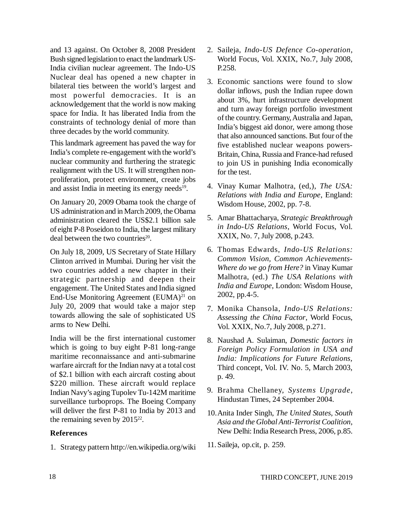and 13 against. On October 8, 2008 President Bush signed legislation to enact the landmark US-India civilian nuclear agreement. The Indo-US Nuclear deal has opened a new chapter in bilateral ties between the world's largest and most powerful democracies. It is an acknowledgement that the world is now making space for India. It has liberated India from the constraints of technology denial of more than three decades by the world community.

This landmark agreement has paved the way for India's complete re-engagement with the world's nuclear community and furthering the strategic realignment with the US. It will strengthen nonproliferation, protect environment, create jobs and assist India in meeting its energy needs<sup>19</sup>.

On January 20, 2009 Obama took the charge of US administration and in March 2009, the Obama administration cleared the US\$2.1 billion sale of eight P-8 Poseidon to India, the largest military deal between the two countries<sup>20</sup>.

On July 18, 2009, US Secretary of State Hillary Clinton arrived in Mumbai. During her visit the two countries added a new chapter in their strategic partnership and deepen their engagement. The United States and India signed End-Use Monitoring Agreement  $(EUMA)^{21}$  on July 20, 2009 that would take a major step towards allowing the sale of sophisticated US arms to New Delhi.

India will be the first international customer which is going to buy eight P-81 long-range maritime reconnaissance and anti-submarine warfare aircraft for the Indian navy at a total cost of \$2.1 billion with each aircraft costing about \$220 million. These aircraft would replace Indian Navy's aging Tupolev Tu-142M maritime surveillance turboprops. The Boeing Company will deliver the first P-81 to India by 2013 and the remaining seven by  $2015^{22}$ .

#### **References**

1. Strategy pattern<http://en.wikipedia.org/wiki>

- 2. Saileja, *Indo-US Defence Co-operation*, World Focus, Vol. XXIX, No.7, July 2008, P.258.
- 3. Economic sanctions were found to slow dollar inflows, push the Indian rupee down about 3%, hurt infrastructure development and turn away foreign portfolio investment of the country. Germany, Australia and Japan, India's biggest aid donor, were among those that also announced sanctions. But four of the five established nuclear weapons powers-Britain, China, Russia and France-had refused to join US in punishing India economically for the test.
- 4. Vinay Kumar Malhotra, (ed,), *The USA: Relations with India and Europe*, England: Wisdom House, 2002, pp. 7-8.
- 5. Amar Bhattacharya, *Strategic Breakthrough in Indo-US Relations*, World Focus, Vol. XXIX, No. 7, July 2008, p.243.
- 6. Thomas Edwards, *Indo-US Relations: Common Vision, Common Achievements-Where do we go from Here?* in Vinay Kumar Malhotra, (ed.) *The USA Relations with India and Europe*, London: Wisdom House, 2002, pp.4-5.
- 7. Monika Chansola, *Indo-US Relations: Assessing the China Factor*, World Focus, Vol. XXIX, No.7, July 2008, p.271.
- 8. Naushad A. Sulaiman, *Domestic factors in Foreign Policy Formulation in USA and India: Implications for Future Relations,* Third concept, Vol. IV. No. 5, March 2003, p. 49.
- 9. Brahma Chellaney, *Systems Upgrade*, Hindustan Times, 24 September 2004.
- 10.Anita Inder Singh, *The United States, South Asia and the Global Anti-Terrorist Coalition*, New Delhi: India Research Press, 2006, p.85.
- 11.Saileja, op.cit, p. 259.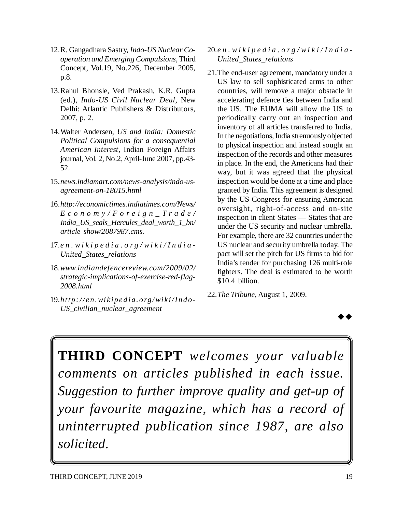- 12.R. Gangadhara Sastry, *Indo-US Nuclear Cooperation and Emerging Compulsions*, Third Concept, Vol.19, No.226, December 2005, p.8.
- 13.Rahul Bhonsle, Ved Prakash, K.R. Gupta (ed.), *Indo-US Civil Nuclear Deal*, New Delhi: Atlantic Publishers & Distributors, 2007, p. 2.
- 14.Walter Andersen, *US and India: Domestic Political Compulsions for a consequential American Interest*, Indian Foreign Affairs journal, Vol. 2, No.2, April-June 2007, pp.43- 52.
- 15.*news.indiamart.com/news-analysis/indo-usagreement-on-18015.html*
- 16.*<http://economictimes.indiatimes.com/News/> E c o n o m y / F o r e i g n \_ T r a d e / India\_US\_seals\_Hercules\_deal\_worth\_1\_bn/ article show/2087987.cms.*
- 17.*e n . w i k i p e d i a . o r g / w i k i / I n d i a - United\_States\_relations*
- 18.*www.indiandefencereview.com/2009/02/ strategic-implications-of-exercise-red-flag-2008.html*
- 19.*http: //en. wikiped ia. org/wiki/I ndo-US\_civilian\_nuclear\_agreement*
- 20.*e n . w i k i p e d i a . o r g / w i k i / I n d i a - United\_States\_relations*
- 21.The end-user agreement, mandatory under a US law to sell sophisticated arms to other countries, will remove a major obstacle in accelerating defence ties between India and the US. The EUMA will allow the US to periodically carry out an inspection and inventory of all articles transferred to India. In the negotiations, India strenuously objected to physical inspection and instead sought an inspection of the records and other measures in place. In the end, the Americans had their way, but it was agreed that the physical inspection would be done at a time and place granted by India. This agreement is designed by the US Congress for ensuring American oversight, right-of-access and on-site inspection in client States — States that are under the US security and nuclear umbrella. For example, there are 32 countries under the US nuclear and security umbrella today. The pact will set the pitch for US firms to bid for India's tender for purchasing 126 multi-role fighters. The deal is estimated to be worth \$10.4 billion.
- 22.*The Tribune*, August 1, 2009.



**THIRD CONCEPT** *welcomes your valuable comments on articles published in each issue. Suggestion to further improve quality and get-up of your favourite magazine, which has a record of uninterrupted publication since 1987, are also solicited.*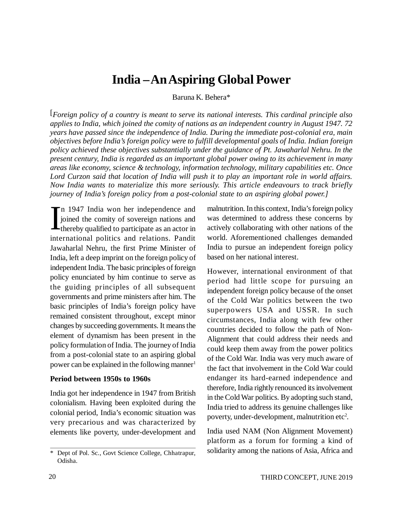### **India – An Aspiring Global Power**

Baruna K. Behera\*

[*Foreign policy of a country is meant to serve its national interests. This cardinal principle also applies to India, which joined the comity of nations as an independent country in August 1947. 72 years have passed since the independence of India. During the immediate post-colonial era, main objectives before India's foreign policy were to fulfill developmental goals of India. Indian foreign policy achieved these objectives substantially under the guidance of Pt. Jawaharlal Nehru. In the present century, India is regarded as an important global power owing to its achievement in many areas like economy, science & technology, information technology, military capabilities etc. Once Lord Curzon said that location of India will push it to play an important role in world affairs. Now India wants to materialize this more seriously. This article endeavours to track briefly journey of India's foreign policy from a post-colonial state to an aspiring global power.]*

In 1947 India won her independence and<br>joined the comity of sovereign nations and<br>thereby qualified to participate as an actor in n 1947 India won her independence and joined the comity of sovereign nations and international politics and relations. Pandit Jawaharlal Nehru, the first Prime Minister of India, left a deep imprint on the foreign policy of independent India. The basic principles of foreign policy enunciated by him continue to serve as the guiding principles of all subsequent governments and prime ministers after him. The basic principles of India's foreign policy have remained consistent throughout, except minor changes by succeeding governments. It means the element of dynamism has been present in the policy formulation of India. The journey of India from a post-colonial state to an aspiring global power can be explained in the following manner<sup>1</sup>

#### **Period between 1950s to 1960s**

India got her independence in 1947 from British colonialism. Having been exploited during the colonial period, India's economic situation was very precarious and was characterized by elements like poverty, under-development and

malnutrition. In this context, India's foreign policy was determined to address these concerns by actively collaborating with other nations of the world. Aforementioned challenges demanded India to pursue an independent foreign policy based on her national interest.

However, international environment of that period had little scope for pursuing an independent foreign policy because of the onset of the Cold War politics between the two superpowers USA and USSR. In such circumstances, India along with few other countries decided to follow the path of Non-Alignment that could address their needs and could keep them away from the power politics of the Cold War. India was very much aware of the fact that involvement in the Cold War could endanger its hard-earned independence and therefore, India rightly renounced its involvement in the Cold War politics. By adopting such stand, India tried to address its genuine challenges like poverty, under-development, malnutrition etc<sup>2</sup>.

India used NAM (Non Alignment Movement) platform as a forum for forming a kind of solidarity among the nations of Asia, Africa and

<sup>\*</sup> Dept of Pol. Sc., Govt Science College, Chhatrapur, Odisha.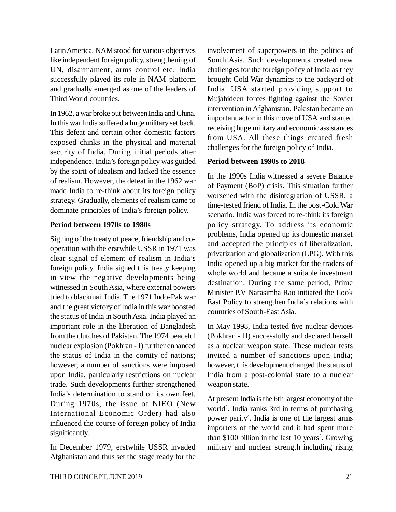Latin America. NAM stood for various objectives like independent foreign policy, strengthening of UN, disarmament, arms control etc. India successfully played its role in NAM platform and gradually emerged as one of the leaders of Third World countries.

In 1962, a war broke out between India and China. In this war India suffered a huge military set back. This defeat and certain other domestic factors exposed chinks in the physical and material security of India. During initial periods after independence, India's foreign policy was guided by the spirit of idealism and lacked the essence of realism. However, the defeat in the 1962 war made India to re-think about its foreign policy strategy. Gradually, elements of realism came to dominate principles of India's foreign policy.

#### **Period between 1970s to 1980s**

Signing of the treaty of peace, friendship and cooperation with the erstwhile USSR in 1971 was clear signal of element of realism in India's foreign policy. India signed this treaty keeping in view the negative developments being witnessed in South Asia, where external powers tried to blackmail India. The 1971 Indo-Pak war and the great victory of India in this war boosted the status of India in South Asia. India played an important role in the liberation of Bangladesh from the clutches of Pakistan. The 1974 peaceful nuclear explosion (Pokhran - I) further enhanced the status of India in the comity of nations; however, a number of sanctions were imposed upon India, particularly restrictions on nuclear trade. Such developments further strengthened India's determination to stand on its own feet. During 1970s, the issue of NIEO (New International Economic Order) had also influenced the course of foreign policy of India significantly.

In December 1979, erstwhile USSR invaded Afghanistan and thus set the stage ready for the involvement of superpowers in the politics of South Asia. Such developments created new challenges for the foreign policy of India as they brought Cold War dynamics to the backyard of India. USA started providing support to Mujahideen forces fighting against the Soviet intervention in Afghanistan. Pakistan became an important actor in this move of USA and started receiving huge military and economic assistances from USA. All these things created fresh challenges for the foreign policy of India.

#### **Period between 1990s to 2018**

In the 1990s India witnessed a severe Balance of Payment (BoP) crisis. This situation further worsened with the disintegration of USSR, a time-tested friend of India. In the post-Cold War scenario, India was forced to re-think its foreign policy strategy. To address its economic problems, India opened up its domestic market and accepted the principles of liberalization, privatization and globalization (LPG). With this India opened up a big market for the traders of whole world and became a suitable investment destination. During the same period, Prime Minister P.V Narasimha Rao initiated the Look East Policy to strengthen India's relations with countries of South-East Asia.

In May 1998, India tested five nuclear devices (Pokhran - II) successfully and declared herself as a nuclear weapon state. These nuclear tests invited a number of sanctions upon India; however, this development changed the status of India from a post-colonial state to a nuclear weapon state.

At present India is the 6th largest economy of the world<sup>3</sup>. India ranks 3rd in terms of purchasing power parity<sup>4</sup>. India is one of the largest arms importers of the world and it had spent more than \$100 billion in the last  $10$  years<sup>5</sup>. Growing military and nuclear strength including rising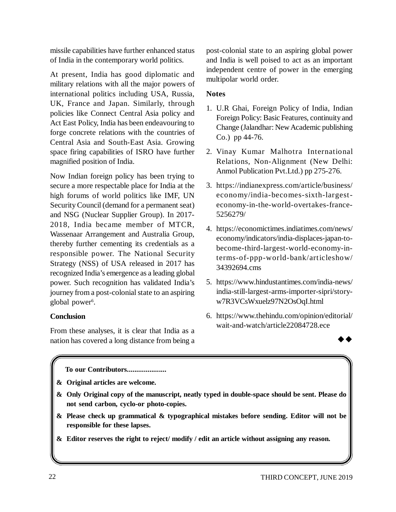missile capabilities have further enhanced status of India in the contemporary world politics.

At present, India has good diplomatic and military relations with all the major powers of international politics including USA, Russia, UK, France and Japan. Similarly, through policies like Connect Central Asia policy and Act East Policy, India has been endeavouring to forge concrete relations with the countries of Central Asia and South-East Asia. Growing space firing capabilities of ISRO have further magnified position of India.

Now Indian foreign policy has been trying to secure a more respectable place for India at the high forums of world politics like IMF, UN Security Council (demand for a permanent seat) and NSG (Nuclear Supplier Group). In 2017- 2018, India became member of MTCR, Wassenaar Arrangement and Australia Group, thereby further cementing its credentials as a responsible power. The National Security Strategy (NSS) of USA released in 2017 has recognized India's emergence as a leading global power. Such recognition has validated India's journey from a post-colonial state to an aspiring global power<sup>6</sup>.

#### **Conclusion**

From these analyses, it is clear that India as a nation has covered a long distance from being a post-colonial state to an aspiring global power and India is well poised to act as an important independent centre of power in the emerging multipolar world order.

#### **Notes**

- 1. U.R Ghai, Foreign Policy of India, Indian Foreign Policy: Basic Features, continuity and Change (Jalandhar: New Academic publishing Co.) pp 44-76.
- 2. Vinay Kumar Malhotra International Relations, Non-Alignment (New Delhi: Anmol Publication Pvt.Ltd.) pp 275-276.
- 3. <https://indianexpress.com/article/business/> economy/india-becomes-sixth-largesteconomy-in-the-world-overtakes-france-5256279/
- 4. <https://economictimes.indiatimes.com/news/> economy/indicators/india-displaces-japan-tobecome-third-largest-world-economy-interms-of-ppp-world-bank/articleshow/ 34392694.cms
- 5. <https://www.hindustantimes.com/india-news/> india-still-largest-arms-importer-sipri/storyw7R3VCsWxuelz97N2OsOqI.html
- 6. <https://www.thehindu.com/opinion/editorial/> wait-and-watch/article22084728.ece



**To our Contributors.....................**

- **& Original articles are welcome.**
- **& Only Original copy of the manuscript, neatly typed in double-space should be sent. Please do not send carbon, cyclo-or photo-copies.**
- **& Please check up grammatical & typographical mistakes before sending. Editor will not be responsible for these lapses.**
- **& Editor reserves the right to reject/ modify / edit an article without assigning any reason.**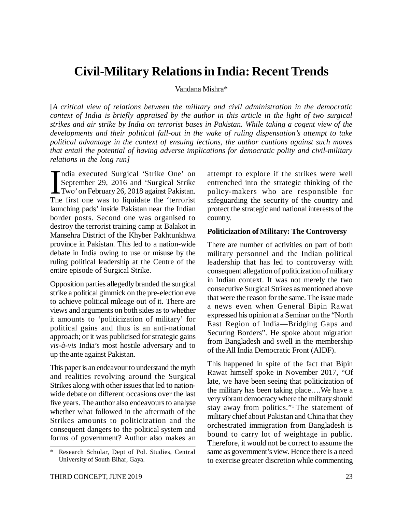### **Civil-Military Relations in India: Recent Trends**

Vandana Mishra\*

[*A critical view of relations between the military and civil administration in the democratic context of India is briefly appraised by the author in this article in the light of two surgical strikes and air strike by India on terrorist bases in Pakistan. While taking a cogent view of the developments and their political fall-out in the wake of ruling dispensation's attempt to take political advantage in the context of ensuing lections, the author cautions against such moves that entail the potential of having adverse implications for democratic polity and civil-military relations in the long run]*

 $\prod_{\text{The}}$ ndia executed Surgical 'Strike One' on September 29, 2016 and 'Surgical Strike Two' on February 26, 2018 against Pakistan. The first one was to liquidate the 'terrorist launching pads' inside Pakistan near the Indian border posts. Second one was organised to destroy the terrorist training camp at Balakot in Mansehra District of the Khyber Pakhtunkhwa province in Pakistan. This led to a nation-wide debate in India owing to use or misuse by the ruling political leadership at the Centre of the entire episode of Surgical Strike.

Opposition parties allegedly branded the surgical strike a political gimmick on the pre-election eve to achieve political mileage out of it. There are views and arguments on both sides as to whether it amounts to 'politicization of military' for political gains and thus is an anti-national approach; or it was publicised for strategic gains *vis-à-vis* India's most hostile adversary and to up the ante against Pakistan.

This paper is an endeavour to understand the myth and realities revolving around the Surgical Strikes along with other issues that led to nationwide debate on different occasions over the last five years. The author also endeavours to analyse whether what followed in the aftermath of the Strikes amounts to politicization and the consequent dangers to the political system and forms of government? Author also makes an

attempt to explore if the strikes were well entrenched into the strategic thinking of the policy-makers who are responsible for safeguarding the security of the country and protect the strategic and national interests of the country.

#### **Politicization of Military: The Controversy**

There are number of activities on part of both military personnel and the Indian political leadership that has led to controversy with consequent allegation of politicization of military in Indian context. It was not merely the two consecutive Surgical Strikes as mentioned above that were the reason for the same. The issue made a news even when General Bipin Rawat expressed his opinion at a Seminar on the "North East Region of India—Bridging Gaps and Securing Borders". He spoke about migration from Bangladesh and swell in the membership of the All India Democratic Front (AIDF).

This happened in spite of the fact that Bipin Rawat himself spoke in November 2017, "Of late, we have been seeing that politicization of the military has been taking place….We have a very vibrant democracy where the military should stay away from politics."<sup>1</sup> The statement of military chief about Pakistan and China that they orchestrated immigration from Bangladesh is bound to carry lot of weightage in public. Therefore, it would not be correct to assume the same as government's view. Hence there is a need to exercise greater discretion while commenting

Research Scholar, Dept of Pol. Studies, Central University of South Bihar, Gaya.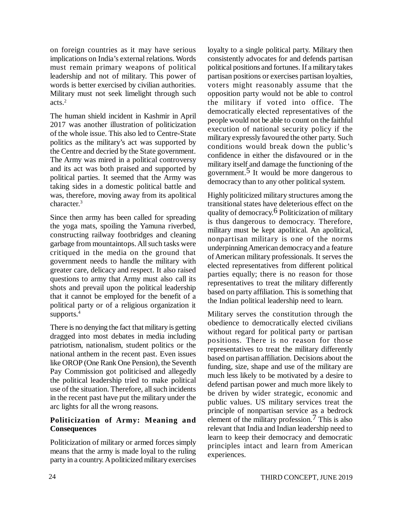on foreign countries as it may have serious implications on India's external relations. Words must remain primary weapons of political leadership and not of military. This power of words is better exercised by civilian authorities. Military must not seek limelight through such acts.<sup>2</sup>

The human shield incident in Kashmir in April 2017 was another illustration of politicization of the whole issue. This also led to Centre-State politics as the military's act was supported by the Centre and decried by the State government. The Army was mired in a political controversy and its act was both praised and supported by political parties. It seemed that the Army was taking sides in a domestic political battle and was, therefore, moving away from its apolitical character.<sup>3</sup>

Since then army has been called for spreading the yoga mats, spoiling the Yamuna riverbed, constructing railway footbridges and cleaning garbage from mountaintops. All such tasks were critiqued in the media on the ground that government needs to handle the military with greater care, delicacy and respect. It also raised questions to army that Army must also call its shots and prevail upon the political leadership that it cannot be employed for the benefit of a political party or of a religious organization it supports.<sup>4</sup>

There is no denying the fact that military is getting dragged into most debates in media including patriotism, nationalism, student politics or the national anthem in the recent past. Even issues like OROP (One Rank One Pension), the Seventh Pay Commission got politicised and allegedly the political leadership tried to make political use of the situation. Therefore, all such incidents in the recent past have put the military under the arc lights for all the wrong reasons.

#### **Politicization of Army: Meaning and Consequences**

Politicization of military or armed forces simply means that the army is made loyal to the ruling party in a country. A politicized military exercises

loyalty to a single political party. Military then consistently advocates for and defends partisan political positions and fortunes. If a military takes partisan positions or exercises partisan loyalties, voters might reasonably assume that the opposition party would not be able to control the military if voted into office. The democratically elected representatives of the people would not be able to count on the faithful execution of national security policy if the military expressly favoured the other party. Such conditions would break down the public's confidence in either the disfavoured or in the military itself and damage the functioning of the government.5 It would be more dangerous to democracy than to any other political system.

Highly politicized military structures among the transitional states have deleterious effect on the quality of democracy.6 Politicization of military is thus dangerous to democracy. Therefore, military must be kept apolitical. An apolitical, nonpartisan military is one of the norms underpinning American democracy and a feature of American military professionals. It serves the elected representatives from different political parties equally; there is no reason for those representatives to treat the military differently based on party affiliation. This is something that the Indian political leadership need to learn.

Military serves the constitution through the obedience to democratically elected civilians without regard for political party or partisan positions. There is no reason for those representatives to treat the military differently based on partisan affiliation. Decisions about the funding, size, shape and use of the military are much less likely to be motivated by a desire to defend partisan power and much more likely to be driven by wider strategic, economic and public values. US military services treat the principle of nonpartisan service as a bedrock element of the military profession.<sup>7</sup> This is also relevant that India and Indian leadership need to learn to keep their democracy and democratic principles intact and learn from American experiences.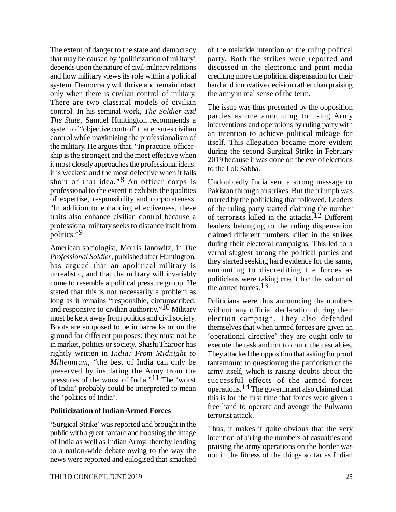The extent of danger to the state and democracy that may be caused by 'politicization of military' depends upon the nature of civil-military relations and how military views its role within a political system. Democracy will thrive and remain intact only when there is civilian control of military. There are two classical models of civilian control. In his seminal work, *The Soldier and The State,* Samuel Huntington recommends a system of "objective control" that ensures civilian control while maximizing the professionalism of the military. He argues that, "In practice, officership is the strongest and the most effective when it most closely approaches the professional ideas: it is weakest and the most defective when it falls short of that idea." $8$  An officer corps is professional to the extent it exhibits the qualities of expertise, responsibility and corporateness. "In addition to enhancing effectiveness, these traits also enhance civilian control because a professional military seeks to distance itself from politics."9

American sociologist, Morris Janowitz, in *The Professional Soldier*, published after Huntington, has argued that an apolitical military is unrealistic, and that the military will invariably come to resemble a political pressure group. He stated that this is not necessarily a problem as long as it remains "responsible, circumscribed, and responsive to civilian authority."<sup>10</sup> Military must be kept away from politics and civil society. Boots are supposed to be in barracks or on the ground for different purposes; they must not be in market, politics or society. Shashi Tharoor has rightly written in *India: From Midnight to Millennium*, "the best of India can only be preserved by insulating the Army from the pressures of the worst of India."11 The 'worst of India' probably could be interpreted to mean the 'politics of India'.

#### **Politicization of Indian Armed Forces**

'Surgical Strike' was reported and brought in the public with a great fanfare and boosting the image of India as well as Indian Army, thereby leading to a nation-wide debate owing to the way the news were reported and eulogised that smacked

of the malafide intention of the ruling political party. Both the strikes were reported and discussed in the electronic and print media crediting more the political dispensation for their hard and innovative decision rather than praising the army in real sense of the term.

The issue was thus presented by the opposition parties as one amounting to using Army interventions and operations by ruling party with an intention to achieve political mileage for itself. This allegation became more evident during the second Surgical Strike in February 2019 because it was done on the eve of elections to the Lok Sabha.

Undoubtedly India sent a strong message to Pakistan through airstrikes. But the triumph was marred by the politicking that followed. Leaders of the ruling party started claiming the number of terrorists killed in the attacks.12 Different leaders belonging to the ruling dispensation claimed different numbers killed in the strikes during their electoral campaigns. This led to a verbal slugfest among the political parties and they started seeking hard evidence for the same, amounting to discrediting the forces as politicians were taking credit for the valour of the armed forces.13

Politicians were thus announcing the numbers without any official declaration during their election campaign. They also defended themselves that when armed forces are given an 'operational directive' they are ought only to execute the task and not to count the casualties. They attacked the opposition that asking for proof tantamount to questioning the patriotism of the army itself, which is raising doubts about the successful effects of the armed forces operations.14 The government also claimed that this is for the first time that forces were given a free hand to operate and avenge the Pulwama terrorist attack.

Thus, it makes it quite obvious that the very intention of airing the numbers of casualties and praising the army operations on the border was not in the fitness of the things so far as Indian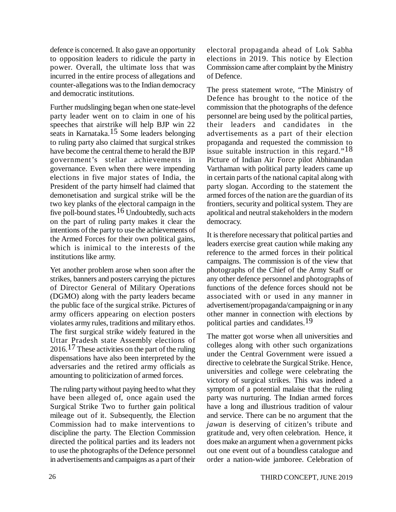defence is concerned. It also gave an opportunity to opposition leaders to ridicule the party in power. Overall, the ultimate loss that was incurred in the entire process of allegations and counter-allegations was to the Indian democracy and democratic institutions.

Further mudslinging began when one state-level party leader went on to claim in one of his speeches that airstrike will help BJP win 22 seats in Karnataka.15 Some leaders belonging to ruling party also claimed that surgical strikes have become the central theme to herald the BJP government's stellar achievements in governance. Even when there were impending elections in five major states of India, the President of the party himself had claimed that demonetisation and surgical strike will be the two key planks of the electoral campaign in the five poll-bound states.<sup>16</sup> Undoubtedly, such acts on the part of ruling party makes it clear the intentions of the party to use the achievements of the Armed Forces for their own political gains, which is inimical to the interests of the institutions like army.

Yet another problem arose when soon after the strikes, banners and posters carrying the pictures of Director General of Military Operations (DGMO) along with the party leaders became the public face of the surgical strike. Pictures of army officers appearing on election posters violates army rules, traditions and military ethos. The first surgical strike widely featured in the Uttar Pradesh state Assembly elections of  $2016$ .<sup>17</sup> These activities on the part of the ruling dispensations have also been interpreted by the adversaries and the retired army officials as amounting to politicization of armed forces.

The ruling party without paying heed to what they have been alleged of, once again used the Surgical Strike Two to further gain political mileage out of it. Subsequently, the Election Commission had to make interventions to discipline the party. The Election Commission directed the political parties and its leaders not to use the photographs of the Defence personnel in advertisements and campaigns as a part of their

electoral propaganda ahead of Lok Sabha elections in 2019. This notice by Election Commission came after complaint by the Ministry of Defence.

The press statement wrote, "The Ministry of Defence has brought to the notice of the commission that the photographs of the defence personnel are being used by the political parties, their leaders and candidates in the advertisements as a part of their election propaganda and requested the commission to issue suitable instruction in this regard."<sup>18</sup> Picture of Indian Air Force pilot Abhinandan Varthaman with political party leaders came up in certain parts of the national capital along with party slogan. According to the statement the armed forces of the nation are the guardian of its frontiers, security and political system. They are apolitical and neutral stakeholders in the modern democracy.

It is therefore necessary that political parties and leaders exercise great caution while making any reference to the armed forces in their political campaigns. The commission is of the view that photographs of the Chief of the Army Staff or any other defence personnel and photographs of functions of the defence forces should not be associated with or used in any manner in advertisement/propaganda/campaigning or in any other manner in connection with elections by political parties and candidates.19

The matter got worse when all universities and colleges along with other such organizations under the Central Government were issued a directive to celebrate the Surgical Strike. Hence, universities and college were celebrating the victory of surgical strikes. This was indeed a symptom of a potential malaise that the ruling party was nurturing. The Indian armed forces have a long and illustrious tradition of valour and service. There can be no argument that the *jawan* is deserving of citizen's tribute and gratitude and, very often celebration. Hence, it does make an argument when a government picks out one event out of a boundless catalogue and order a nation-wide jamboree. Celebration of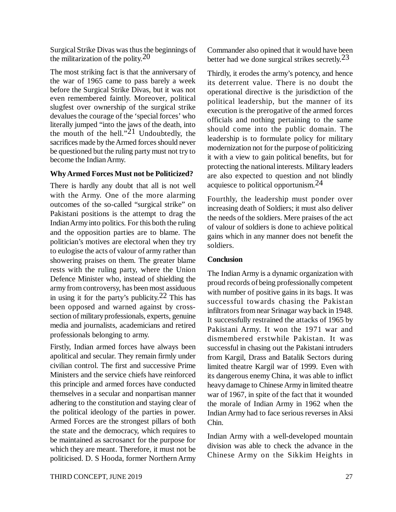Surgical Strike Divas was thus the beginnings of the militarization of the polity.  $20$ 

The most striking fact is that the anniversary of the war of 1965 came to pass barely a week before the Surgical Strike Divas, but it was not even remembered faintly. Moreover, political slugfest over ownership of the surgical strike devalues the courage of the 'special forces' who literally jumped "into the jaws of the death, into the mouth of the hell." $21$  Undoubtedly, the sacrifices made by the Armed forces should never be questioned but the ruling party must not try to become the Indian Army.

#### **Why Armed Forces Must not be Politicized?**

There is hardly any doubt that all is not well with the Army. One of the more alarming outcomes of the so-called "surgical strike" on Pakistani positions is the attempt to drag the Indian Army into politics. For this both the ruling and the opposition parties are to blame. The politician's motives are electoral when they try to eulogise the acts of valour of army rather than showering praises on them. The greater blame rests with the ruling party, where the Union Defence Minister who, instead of shielding the army from controversy, has been most assiduous in using it for the party's publicity.<sup>22</sup> This has been opposed and warned against by crosssection of military professionals, experts, genuine media and journalists, academicians and retired professionals belonging to army.

Firstly, Indian armed forces have always been apolitical and secular. They remain firmly under civilian control. The first and successive Prime Ministers and the service chiefs have reinforced this principle and armed forces have conducted themselves in a secular and nonpartisan manner adhering to the constitution and staying clear of the political ideology of the parties in power. Armed Forces are the strongest pillars of both the state and the democracy, which requires to be maintained as sacrosanct for the purpose for which they are meant. Therefore, it must not be politicised. D. S Hooda, former Northern Army Commander also opined that it would have been better had we done surgical strikes secretly.<sup>23</sup>

Thirdly, it erodes the army's potency, and hence its deterrent value. There is no doubt the operational directive is the jurisdiction of the political leadership, but the manner of its execution is the prerogative of the armed forces officials and nothing pertaining to the same should come into the public domain. The leadership is to formulate policy for military modernization not for the purpose of politicizing it with a view to gain political benefits, but for protecting the national interests. Military leaders are also expected to question and not blindly acquiesce to political opportunism. $^{24}$ 

Fourthly, the leadership must ponder over increasing death of Soldiers; it must also deliver the needs of the soldiers. Mere praises of the act of valour of soldiers is done to achieve political gains which in any manner does not benefit the soldiers.

#### **Conclusion**

The Indian Army is a dynamic organization with proud records of being professionally competent with number of positive gains in its bags. It was successful towards chasing the Pakistan infiltrators from near Srinagar way back in 1948. It successfully restrained the attacks of 1965 by Pakistani Army. It won the 1971 war and dismembered erstwhile Pakistan. It was successful in chasing out the Pakistani intruders from Kargil, Drass and Batalik Sectors during limited theatre Kargil war of 1999. Even with its dangerous enemy China, it was able to inflict heavy damage to Chinese Army in limited theatre war of 1967, in spite of the fact that it wounded the morale of Indian Army in 1962 when the Indian Army had to face serious reverses in Aksi Chin.

Indian Army with a well-developed mountain division was able to check the advance in the Chinese Army on the Sikkim Heights in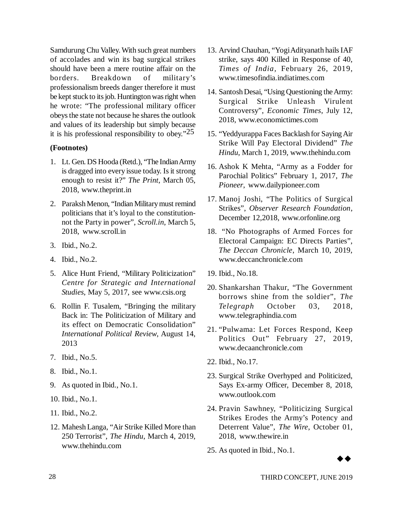Samdurung Chu Valley. With such great numbers of accolades and win its bag surgical strikes should have been a mere routine affair on the borders. Breakdown of military's professionalism breeds danger therefore it must be kept stuck to its job. Huntington was right when he wrote: "The professional military officer obeys the state not because he shares the outlook and values of its leadership but simply because it is his professional responsibility to obey." $25$ 

#### **(Footnotes)**

- 1. Lt. Gen. DS Hooda (Retd.), "The Indian Army is dragged into every issue today. Is it strong enough to resist it?" *The Print*, March 05, 2018, [www.theprint.in](http://www.theprint.in)
- 2. Paraksh Menon, "Indian Military must remind politicians that it's loyal to the constitutionnot the Party in power", *Scroll.in*, March 5, 2018, [www.scroll.in](http://www.scroll.in)
- 3. Ibid., No.2.
- 4. Ibid., No.2.
- 5. Alice Hunt Friend, "Military Politicization" *Centre for Strategic and International Studies*, May 5, 2017, see [www.csis.org](http://www.csis.org)
- 6. Rollin F. Tusalem, "Bringing the military Back in: The Politicization of Military and its effect on Democratic Consolidation" *International Political Review*, August 14, 2013
- 7. Ibid., No.5.
- 8. Ibid., No.1.
- 9. As quoted in Ibid., No.1.
- 10. Ibid., No.1.
- 11. Ibid., No.2.
- 12. Mahesh Langa, "Air Strike Killed More than 250 Terrorist", *The Hindu*, March 4, 2019, [www.thehindu.com](http://www.thehindu.com)
- 13. Arvind Chauhan, "Yogi Adityanath hails IAF strike, says 400 Killed in Response of 40, *Times of India,* February 26, 2019, [www.timesofindia.indiatimes.com](http://www.timesofindia.indiatimes.com)
- 14. Santosh Desai, "Using Questioning the Army: Surgical Strike Unleash Virulent Controversy", *Economic Times*, July 12, 2018, [www.economictimes.com](http://www.economictimes.com)
- 15. "Yeddyurappa Faces Backlash for Saying Air Strike Will Pay Electoral Dividend" *The Hindu*, March 1, 2019, [www.thehindu.com](http://www.thehindu.com)
- 16. Ashok K Mehta, "Army as a Fodder for Parochial Politics" February 1, 2017, *The Pioneer*, [www.dailypioneer.com](http://www.dailypioneer.com)
- 17. Manoj Joshi, "The Politics of Surgical Strikes", *Observer Research Foundation*, December 12,2018, [www.orfonline.org](http://www.orfonline.org)
- 18. "No Photographs of Armed Forces for Electoral Campaign: EC Directs Parties", *The Deccan Chronicle*, March 10, 2019, [www.deccanchronicle.com](http://www.deccanchronicle.com)
- 19. Ibid., No.18.
- 20. Shankarshan Thakur, "The Government borrows shine from the soldier", *The Telegraph* October 03, 2018, [www.telegraphindia.com](http://www.telegraphindia.com)
- 21. "Pulwama: Let Forces Respond, Keep Politics Out" February 27, 2019, [www.decaanchronicle.com](http://www.decaanchronicle.com)
- 22. Ibid., No.17.
- 23. Surgical Strike Overhyped and Politicized, Says Ex-army Officer, December 8, 2018, [www.outlook.com](http://www.outlook.com)
- 24. Pravin Sawhney, "Politicizing Surgical Strikes Erodes the Army's Potency and Deterrent Value", *The Wire*, October 01, 2018, [www.thewire.in](http://www.thewire.in)
- 25. As quoted in Ibid., No.1.

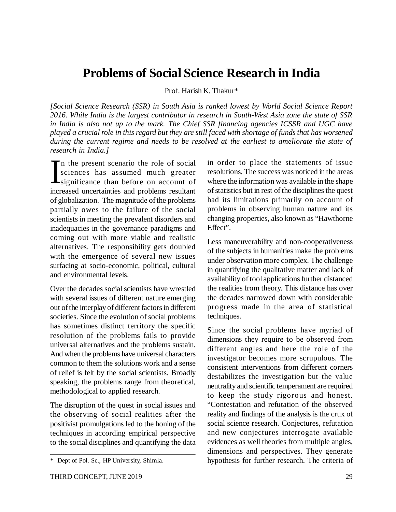### **Problems of Social Science Research in India**

Prof. Harish K. Thakur\*

*[Social Science Research (SSR) in South Asia is ranked lowest by World Social Science Report 2016. While India is the largest contributor in research in South-West Asia zone the state of SSR in India is also not up to the mark. The Chief SSR financing agencies ICSSR and UGC have played a crucial role in this regard but they are still faced with shortage of funds that has worsened during the current regime and needs to be resolved at the earliest to ameliorate the state of research in India.]*

In the present scenario the role of social<br>sciences has assumed much greater<br>significance than before on account of<br>increased uncertainties and problems resultant n the present scenario the role of social sciences has assumed much greater increased uncertainties and problems resultant of globalization. The magnitude of the problems partially owes to the failure of the social scientists in meeting the prevalent disorders and inadequacies in the governance paradigms and coming out with more viable and realistic alternatives. The responsibility gets doubled with the emergence of several new issues surfacing at socio-economic, political, cultural and environmental levels.

Over the decades social scientists have wrestled with several issues of different nature emerging out of the interplay of different factors in different societies. Since the evolution of social problems has sometimes distinct territory the specific resolution of the problems fails to provide universal alternatives and the problems sustain. And when the problems have universal characters common to them the solutions work and a sense of relief is felt by the social scientists. Broadly speaking, the problems range from theoretical, methodological to applied research.

The disruption of the quest in social issues and the observing of social realities after the positivist promulgations led to the honing of the techniques in according empirical perspective to the social disciplines and quantifying the data in order to place the statements of issue resolutions. The success was noticed in the areas where the information was available in the shape of statistics but in rest of the disciplines the quest had its limitations primarily on account of problems in observing human nature and its changing properties, also known as "Hawthorne Effect".

Less maneuverability and non-cooperativeness of the subjects in humanities make the problems under observation more complex. The challenge in quantifying the qualitative matter and lack of availability of tool applications further distanced the realities from theory. This distance has over the decades narrowed down with considerable progress made in the area of statistical techniques.

Since the social problems have myriad of dimensions they require to be observed from different angles and here the role of the investigator becomes more scrupulous. The consistent interventions from different corners destabilizes the investigation but the value neutrality and scientific temperament are required to keep the study rigorous and honest. "Contestation and refutation of the observed reality and findings of the analysis is the crux of social science research. Conjectures, refutation and new conjectures interrogate available evidences as well theories from multiple angles, dimensions and perspectives. They generate hypothesis for further research. The criteria of

<sup>\*</sup> Dept of Pol. Sc., HP University, Shimla.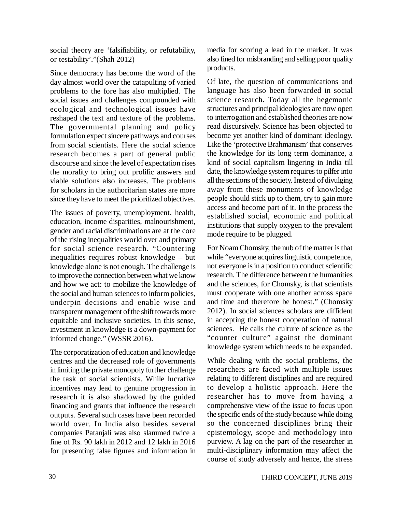social theory are 'falsifiability, or refutability, or testability'."(Shah 2012)

Since democracy has become the word of the day almost world over the catapulting of varied problems to the fore has also multiplied. The social issues and challenges compounded with ecological and technological issues have reshaped the text and texture of the problems. The governmental planning and policy formulation expect sincere pathways and courses from social scientists. Here the social science research becomes a part of general public discourse and since the level of expectation rises the morality to bring out prolific answers and viable solutions also increases. The problems for scholars in the authoritarian states are more since they have to meet the prioritized objectives.

The issues of poverty, unemployment, health, education, income disparities, malnourishment, gender and racial discriminations are at the core of the rising inequalities world over and primary for social science research. "Countering inequalities requires robust knowledge – but knowledge alone is not enough. The challenge is to improve the connection between what we know and how we act: to mobilize the knowledge of the social and human sciences to inform policies, underpin decisions and enable wise and transparent management of the shift towards more equitable and inclusive societies. In this sense, investment in knowledge is a down-payment for informed change." (WSSR 2016).

The corporatization of education and knowledge centres and the decreased role of governments in limiting the private monopoly further challenge the task of social scientists. While lucrative incentives may lead to genuine progression in research it is also shadowed by the guided financing and grants that influence the research outputs. Several such cases have been recorded world over. In India also besides several companies Patanjali was also slammed twice a fine of Rs. 90 lakh in 2012 and 12 lakh in 2016 for presenting false figures and information in

media for scoring a lead in the market. It was also fined for misbranding and selling poor quality products.

Of late, the question of communications and language has also been forwarded in social science research. Today all the hegemonic structures and principal ideologies are now open to interrogation and established theories are now read discursively. Science has been objected to become yet another kind of dominant ideology. Like the 'protective Brahmanism' that conserves the knowledge for its long term dominance, a kind of social capitalism lingering in India till date, the knowledge system requires to pilfer into all the sections of the society. Instead of divulging away from these monuments of knowledge people should stick up to them, try to gain more access and become part of it. In the process the established social, economic and political institutions that supply oxygen to the prevalent mode require to be plugged.

For Noam Chomsky, the nub of the matter is that while "everyone acquires linguistic competence, not everyone is in a position to conduct scientific research. The difference between the humanities and the sciences, for Chomsky, is that scientists must cooperate with one another across space and time and therefore be honest." (Chomsky 2012). In social sciences scholars are diffident in accepting the honest cooperation of natural sciences. He calls the culture of science as the "counter culture" against the dominant knowledge system which needs to be expanded.

While dealing with the social problems, the researchers are faced with multiple issues relating to different disciplines and are required to develop a holistic approach. Here the researcher has to move from having a comprehensive view of the issue to focus upon the specific ends of the study because while doing so the concerned disciplines bring their epistemology, scope and methodology into purview. A lag on the part of the researcher in multi-disciplinary information may affect the course of study adversely and hence, the stress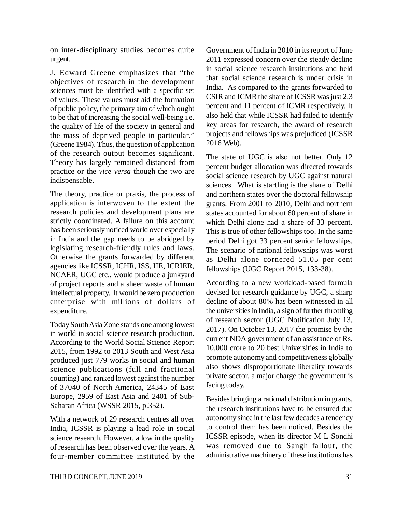on inter-disciplinary studies becomes quite urgent.

J. Edward Greene emphasizes that "the objectives of research in the development sciences must be identified with a specific set of values. These values must aid the formation of public policy, the primary aim of which ought to be that of increasing the social well-being i.e. the quality of life of the society in general and the mass of deprived people in particular." (Greene 1984). Thus, the question of application of the research output becomes significant. Theory has largely remained distanced from practice or the *vice versa* though the two are indispensable.

The theory, practice or praxis, the process of application is interwoven to the extent the research policies and development plans are strictly coordinated. A failure on this account has been seriously noticed world over especially in India and the gap needs to be abridged by legislating research-friendly rules and laws. Otherwise the grants forwarded by different agencies like ICSSR, ICHR, ISS, IIE, ICRIER, NCAER, UGC etc., would produce a junkyard of project reports and a sheer waste of human intellectual property. It would be zero production enterprise with millions of dollars of expenditure.

Today South Asia Zone stands one among lowest in world in social science research production. According to the World Social Science Report 2015, from 1992 to 2013 South and West Asia produced just 779 works in social and human science publications (full and fractional counting) and ranked lowest against the number of 37040 of North America, 24345 of East Europe, 2959 of East Asia and 2401 of Sub-Saharan Africa (WSSR 2015, p.352).

With a network of 29 research centres all over India, ICSSR is playing a lead role in social science research. However, a low in the quality of research has been observed over the years. A four-member committee instituted by the Government of India in 2010 in its report of June 2011 expressed concern over the steady decline in social science research institutions and held that social science research is under crisis in India. As compared to the grants forwarded to CSIR and ICMR the share of ICSSR was just 2.3 percent and 11 percent of ICMR respectively. It also held that while ICSSR had failed to identify key areas for research, the award of research projects and fellowships was prejudiced (ICSSR 2016 Web).

The state of UGC is also not better. Only 12 percent budget allocation was directed towards social science research by UGC against natural sciences. What is startling is the share of Delhi and northern states over the doctoral fellowship grants. From 2001 to 2010, Delhi and northern states accounted for about 60 percent of share in which Delhi alone had a share of 33 percent. This is true of other fellowships too. In the same period Delhi got 33 percent senior fellowships. The scenario of national fellowships was worst as Delhi alone cornered 51.05 per cent fellowships (UGC Report 2015, 133-38).

According to a new workload-based formula devised for research guidance by UGC, a sharp decline of about 80% has been witnessed in all the universities in India, a sign of further throttling of research sector (UGC Notification July 13, 2017). On October 13, 2017 the promise by the current NDA government of an assistance of Rs. 10,000 crore to 20 best Universities in India to promote autonomy and competitiveness globally also shows disproportionate liberality towards private sector, a major charge the government is facing today.

Besides bringing a rational distribution in grants, the research institutions have to be ensured due autonomy since in the last few decades a tendency to control them has been noticed. Besides the ICSSR episode, when its director M L Sondhi was removed due to Sangh fallout, the administrative machinery of these institutions has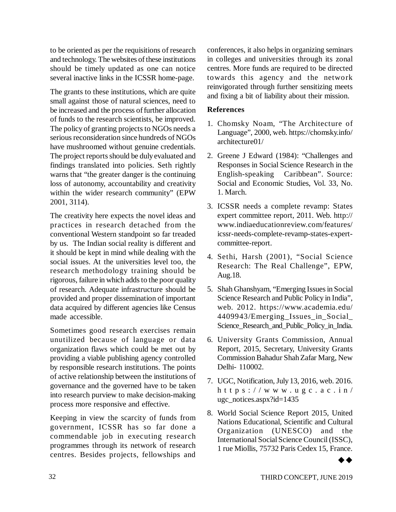to be oriented as per the requisitions of research and technology. The websites of these institutions should be timely updated as one can notice several inactive links in the ICSSR home-page.

The grants to these institutions, which are quite small against those of natural sciences, need to be increased and the process of further allocation of funds to the research scientists, be improved. The policy of granting projects to NGOs needs a serious reconsideration since hundreds of NGOs have mushroomed without genuine credentials. The project reports should be duly evaluated and findings translated into policies. Seth rightly warns that "the greater danger is the continuing loss of autonomy, accountability and creativity within the wider research community" (EPW 2001, 3114).

The creativity here expects the novel ideas and practices in research detached from the conventional Western standpoint so far treaded by us. The Indian social reality is different and it should be kept in mind while dealing with the social issues. At the universities level too, the research methodology training should be rigorous, failure in which adds to the poor quality of research. Adequate infrastructure should be provided and proper dissemination of important data acquired by different agencies like Census made accessible.

Sometimes good research exercises remain unutilized because of language or data organization flaws which could be met out by providing a viable publishing agency controlled by responsible research institutions. The points of active relationship between the institutions of governance and the governed have to be taken into research purview to make decision-making process more responsive and effective.

Keeping in view the scarcity of funds from government, ICSSR has so far done a commendable job in executing research programmes through its network of research centres. Besides projects, fellowships and

conferences, it also helps in organizing seminars in colleges and universities through its zonal centres. More funds are required to be directed towards this agency and the network reinvigorated through further sensitizing meets and fixing a bit of liability about their mission.

#### **References**

- 1. Chomsky Noam, "The Architecture of Language", 2000, web.<https://chomsky.info/> architecture01/
- 2. Greene J Edward (1984): "Challenges and Responses in Social Science Research in the English-speaking Caribbean". Source: Social and Economic Studies, Vol. 33, No. 1. March.
- 3. ICSSR needs a complete revamp: States expert committee report, 2011. Web. <http://> [www.indiaeducationreview.com/features/](http://www.indiaeducationreview.com/features/) icssr-needs-complete-revamp-states-expertcommittee-report.
- 4. Sethi, Harsh (2001), "Social Science Research: The Real Challenge", EPW, Aug.18.
- 5. Shah Ghanshyam, "Emerging Issues in Social Science Research and Public Policy in India", web. 2012. https://[www.academia.](http://www.academia.)edu/ 4409943/Emerging\_Issues\_in\_Social\_ Science Research and Public Policy in India.
- 6. University Grants Commission, Annual Report, 2015, Secretary, University Grants Commission Bahadur Shah Zafar Marg, New Delhi- 110002.
- 7. UGC, Notification, July 13, 2016, web. 2016. h t t p s :  $//$  w w w . u g c . a c . i n  $/$ ugc\_notices.aspx?id=1435
- 8. World Social Science Report 2015, United Nations Educational, Scientific and Cultural Organization (UNESCO) and the International Social Science Council (ISSC), 1 rue Miollis, 75732 Paris Cedex 15, France.

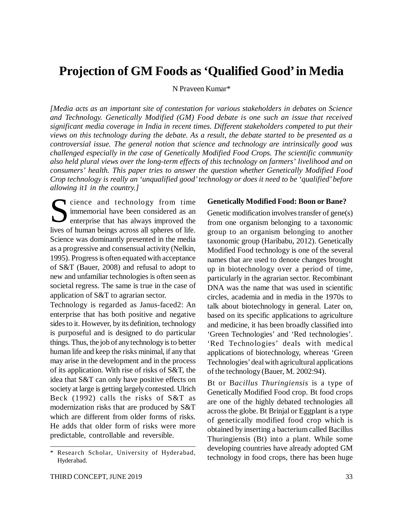### **Projection of GM Foods as 'Qualified Good' in Media**

N Praveen Kumar\*

*[Media acts as an important site of contestation for various stakeholders in debates on Science and Technology. Genetically Modified (GM) Food debate is one such an issue that received significant media coverage in India in recent times. Different stakeholders competed to put their views on this technology during the debate. As a result, the debate started to be presented as a controversial issue. The general notion that science and technology are intrinsically good was challenged especially in the case of Genetically Modified Food Crops. The scientific community also held plural views over the long-term effects of this technology on farmers' livelihood and on consumers' health. This paper tries to answer the question whether Genetically Modified Food Crop technology is really an 'unqualified good' technology or does it need to be 'qualified' before allowing it1 in the country.]*

Socience and technology from time<br>
immemorial have been considered as an<br>
enterprise that has always improved the<br>
lives of human beings agrees all sphares of life immemorial have been considered as an **EX** enterprise that has always improved the lives of human beings across all spheres of life. Science was dominantly presented in the media as a progressive and consensual activity (Nelkin, 1995). Progress is often equated with acceptance of S&T (Bauer, 2008) and refusal to adopt to new and unfamiliar technologies is often seen as societal regress. The same is true in the case of application of S&T to agrarian sector.

Technology is regarded as Janus-faced2: An enterprise that has both positive and negative sides to it. However, by its definition, technology is purposeful and is designed to do particular things. Thus, the job of any technology is to better human life and keep the risks minimal, if any that may arise in the development and in the process of its application. With rise of risks of S&T, the idea that S&T can only have positive effects on society at large is getting largely contested. Ulrich Beck (1992) calls the risks of S&T as modernization risks that are produced by S&T which are different from older forms of risks. He adds that older form of risks were more predictable, controllable and reversible.

#### **Genetically Modified Food: Boon or Bane?**

Genetic modification involves transfer of gene(s) from one organism belonging to a taxonomic group to an organism belonging to another taxonomic group (Haribabu, 2012). Genetically Modified Food technology is one of the several names that are used to denote changes brought up in biotechnology over a period of time, particularly in the agrarian sector. Recombinant DNA was the name that was used in scientific circles, academia and in media in the 1970s to talk about biotechnology in general. Later on, based on its specific applications to agriculture and medicine, it has been broadly classified into 'Green Technologies' and 'Red technologies'. 'Red Technologies' deals with medical applications of biotechnology, whereas 'Green Technologies' deal with agricultural applications of the technology (Bauer, M. 2002:94).

Bt or B*acillus Thuringiensis* is a type of Genetically Modified Food crop. Bt food crops are one of the highly debated technologies all across the globe. Bt Brinjal or Eggplant is a type of genetically modified food crop which is obtained by inserting a bacterium called Bacillus Thuringiensis (Bt) into a plant. While some developing countries have already adopted GM technology in food crops, there has been huge

<sup>\*</sup> Research Scholar, University of Hyderabad, Hyderabad.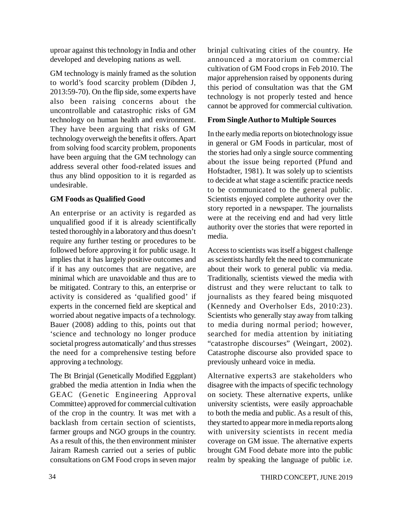uproar against this technology in India and other developed and developing nations as well.

GM technology is mainly framed as the solution to world's food scarcity problem (Dibden J, 2013:59-70). On the flip side, some experts have also been raising concerns about the uncontrollable and catastrophic risks of GM technology on human health and environment. They have been arguing that risks of GM technology overweigh the benefits it offers. Apart from solving food scarcity problem, proponents have been arguing that the GM technology can address several other food-related issues and thus any blind opposition to it is regarded as undesirable.

#### **GM Foods as Qualified Good**

An enterprise or an activity is regarded as unqualified good if it is already scientifically tested thoroughly in a laboratory and thus doesn't require any further testing or procedures to be followed before approving it for public usage. It implies that it has largely positive outcomes and if it has any outcomes that are negative, are minimal which are unavoidable and thus are to be mitigated. Contrary to this, an enterprise or activity is considered as 'qualified good' if experts in the concerned field are skeptical and worried about negative impacts of a technology. Bauer (2008) adding to this, points out that 'science and technology no longer produce societal progress automatically' and thus stresses the need for a comprehensive testing before approving a technology.

The Bt Brinjal (Genetically Modified Eggplant) grabbed the media attention in India when the GEAC (Genetic Engineering Approval Committee) approved for commercial cultivation of the crop in the country. It was met with a backlash from certain section of scientists, farmer groups and NGO groups in the country. As a result of this, the then environment minister Jairam Ramesh carried out a series of public consultations on GM Food crops in seven major

brinjal cultivating cities of the country. He announced a moratorium on commercial cultivation of GM Food crops in Feb 2010. The major apprehension raised by opponents during this period of consultation was that the GM technology is not properly tested and hence cannot be approved for commercial cultivation.

#### **From Single Author to Multiple Sources**

In the early media reports on biotechnology issue in general or GM Foods in particular, most of the stories had only a single source commenting about the issue being reported (Pfund and Hofstadter, 1981). It was solely up to scientists to decide at what stage a scientific practice needs to be communicated to the general public. Scientists enjoyed complete authority over the story reported in a newspaper. The journalists were at the receiving end and had very little authority over the stories that were reported in media.

Access to scientists was itself a biggest challenge as scientists hardly felt the need to communicate about their work to general public via media. Traditionally, scientists viewed the media with distrust and they were reluctant to talk to journalists as they feared being misquoted (Kennedy and Overholser Eds, 2010:23). Scientists who generally stay away from talking to media during normal period; however, searched for media attention by initiating "catastrophe discourses" (Weingart, 2002). Catastrophe discourse also provided space to previously unheard voice in media.

Alternative experts3 are stakeholders who disagree with the impacts of specific technology on society. These alternative experts, unlike university scientists, were easily approachable to both the media and public. As a result of this, they started to appear more in media reports along with university scientists in recent media coverage on GM issue. The alternative experts brought GM Food debate more into the public realm by speaking the language of public i.e.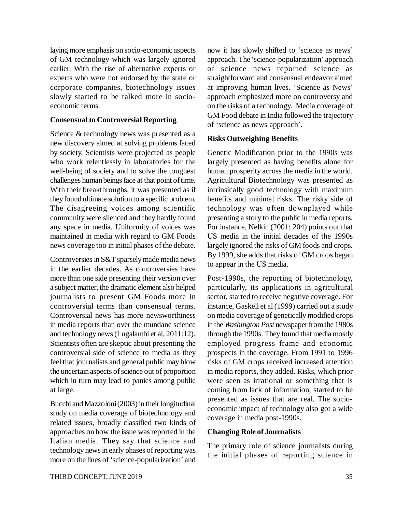laying more emphasis on socio-economic aspects of GM technology which was largely ignored earlier. With the rise of alternative experts or experts who were not endorsed by the state or corporate companies, biotechnology issues slowly started to be talked more in socioeconomic terms.

#### **Consensual to Controversial Reporting**

Science & technology news was presented as a new discovery aimed at solving problems faced by society. Scientists were projected as people who work relentlessly in laboratories for the well-being of society and to solve the toughest challenges human beings face at that point of time. With their breakthroughs, it was presented as if they found ultimate solution to a specific problem. The disagreeing voices among scientific community were silenced and they hardly found any space in media. Uniformity of voices was maintained in media with regard to GM Foods news coverage too in initial phases of the debate.

Controversies in S&T sparsely made media news in the earlier decades. As controversies have more than one side presenting their version over a subject matter, the dramatic element also helped journalists to present GM Foods more in controversial terms than consensual terms. Controversial news has more newsworthiness in media reports than over the mundane science and technology news (Lugalambi et al, 2011:12). Scientists often are skeptic about presenting the controversial side of science to media as they feel that journalists and general public may blow the uncertain aspects of science out of proportion which in turn may lead to panics among public at large.

Bucchi and Mazzoloni (2003) in their longitudinal study on media coverage of biotechnology and related issues, broadly classified two kinds of approaches on how the issue was reported in the Italian media. They say that science and technology news in early phases of reporting was more on the lines of 'science-popularization' and

now it has slowly shifted to 'science as news' approach. The 'science-popularization' approach of science news reported science as straightforward and consensual endeavor aimed at improving human lives. 'Science as News' approach emphasized more on controversy and on the risks of a technology. Media coverage of GM Food debate in India followed the trajectory of 'science as news approach'.

#### **Risks Outweighing Benefits**

Genetic Modification prior to the 1990s was largely presented as having benefits alone for human prosperity across the media in the world. Agricultural Biotechnology was presented as intrinsically good technology with maximum benefits and minimal risks. The risky side of technology was often downplayed while presenting a story to the public in media reports. For instance, Nelkin (2001: 204) points out that US media in the initial decades of the 1990s largely ignored the risks of GM foods and crops. By 1999, she adds that risks of GM crops began to appear in the US media.

Post-1990s, the reporting of biotechnology, particularly, its applications in agricultural sector, started to receive negative coverage. For instance, Gaskell et al (1999) carried out a study on media coverage of genetically modified crops in the *Washington Post* newspaper from the 1980s through the 1990s. They found that media mostly employed progress frame and economic prospects in the coverage. From 1991 to 1996 risks of GM crops received increased attention in media reports, they added. Risks, which prior were seen as irrational or something that is coming from lack of information, started to be presented as issues that are real. The socioeconomic impact of technology also got a wide coverage in media post-1990s.

#### **Changing Role of Journalists**

The primary role of science journalists during the initial phases of reporting science in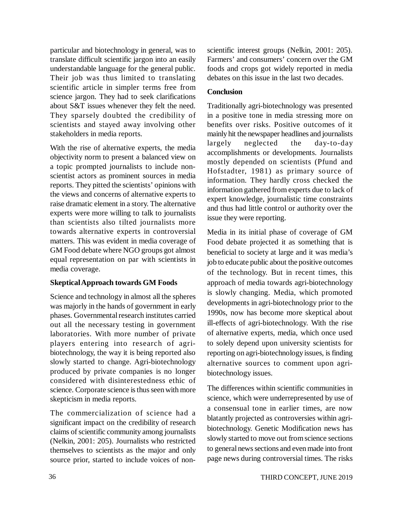particular and biotechnology in general, was to translate difficult scientific jargon into an easily understandable language for the general public. Their job was thus limited to translating scientific article in simpler terms free from science jargon. They had to seek clarifications about S&T issues whenever they felt the need. They sparsely doubted the credibility of scientists and stayed away involving other stakeholders in media reports.

With the rise of alternative experts, the media objectivity norm to present a balanced view on a topic prompted journalists to include nonscientist actors as prominent sources in media reports. They pitted the scientists' opinions with the views and concerns of alternative experts to raise dramatic element in a story. The alternative experts were more willing to talk to journalists than scientists also tilted journalists more towards alternative experts in controversial matters. This was evident in media coverage of GM Food debate where NGO groups got almost equal representation on par with scientists in media coverage.

#### **Skeptical Approach towards GM Foods**

Science and technology in almost all the spheres was majorly in the hands of government in early phases. Governmental research institutes carried out all the necessary testing in government laboratories. With more number of private players entering into research of agribiotechnology, the way it is being reported also slowly started to change. Agri-biotechnology produced by private companies is no longer considered with disinterestedness ethic of science. Corporate science is thus seen with more skepticism in media reports.

The commercialization of science had a significant impact on the credibility of research claims of scientific community among journalists (Nelkin, 2001: 205). Journalists who restricted themselves to scientists as the major and only source prior, started to include voices of nonscientific interest groups (Nelkin, 2001: 205). Farmers' and consumers' concern over the GM foods and crops got widely reported in media debates on this issue in the last two decades.

#### **Conclusion**

Traditionally agri-biotechnology was presented in a positive tone in media stressing more on benefits over risks. Positive outcomes of it mainly hit the newspaper headlines and journalists largely neglected the day-to-day accomplishments or developments. Journalists mostly depended on scientists (Pfund and Hofstadter, 1981) as primary source of information. They hardly cross checked the information gathered from experts due to lack of expert knowledge, journalistic time constraints and thus had little control or authority over the issue they were reporting.

Media in its initial phase of coverage of GM Food debate projected it as something that is beneficial to society at large and it was media's job to educate public about the positive outcomes of the technology. But in recent times, this approach of media towards agri-biotechnology is slowly changing. Media, which promoted developments in agri-biotechnology prior to the 1990s, now has become more skeptical about ill-effects of agri-biotechnology. With the rise of alternative experts, media, which once used to solely depend upon university scientists for reporting on agri-biotechnology issues, is finding alternative sources to comment upon agribiotechnology issues.

The differences within scientific communities in science, which were underrepresented by use of a consensual tone in earlier times, are now blatantly projected as controversies within agribiotechnology. Genetic Modification news has slowly started to move out from science sections to general news sections and even made into front page news during controversial times. The risks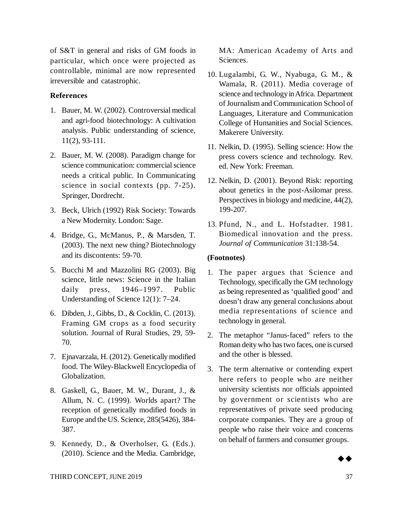of S&T in general and risks of GM foods in particular, which once were projected as controllable, minimal are now represented irreversible and catastrophic.

#### **References**

- 1. Bauer, M. W. (2002). Controversial medical and agri-food biotechnology: A cultivation analysis. Public understanding of science, 11(2), 93-111.
- 2. Bauer, M. W. (2008). Paradigm change for science communication: commercial science needs a critical public. In Communicating science in social contexts (pp. 7-25). Springer, Dordrecht.
- 3. Beck, Ulrich (1992) Risk Society: Towards a New Modernity. London: Sage.
- 4. Bridge, G., McManus, P., & Marsden, T. (2003). The next new thing? Biotechnology and its discontents: 59-70.
- 5. Bucchi M and Mazzolini RG (2003). Big science, little news: Science in the Italian daily press, 1946–1997. Public Understanding of Science 12(1): 7–24.
- 6. Dibden, J., Gibbs, D., & Cocklin, C. (2013). Framing GM crops as a food security solution. Journal of Rural Studies, 29, 59- 70.
- 7. Ejnavarzala, H. (2012). Genetically modified food. The Wiley-Blackwell Encyclopedia of Globalization.
- 8. Gaskell, G., Bauer, M. W., Durant, J., & Allum, N. C. (1999). Worlds apart? The reception of genetically modified foods in Europe and the US. Science, 285(5426), 384- 387.
- 9. Kennedy, D., & Overholser, G. (Eds.). (2010). Science and the Media. Cambridge,

MA: American Academy of Arts and Sciences.

- 10. Lugalambi, G. W., Nyabuga, G. M., & Wamala, R. (2011). Media coverage of science and technology in Africa. Department of Journalism and Communication School of Languages, Literature and Communication College of Humanities and Social Sciences. Makerere University.
- 11. Nelkin, D. (1995). Selling science: How the press covers science and technology. Rev. ed. New York: Freeman.
- 12. Nelkin, D. (2001). Beyond Risk: reporting about genetics in the post-Asilomar press. Perspectives in biology and medicine, 44(2), 199-207.
- 13. Pfund, N., and L. Hofstadter. 1981. Biomedical innovation and the press. *Journal of Communication* 31:138-54.

#### **(Footnotes)**

- 1. The paper argues that Science and Technology, specifically the GM technology as being represented as 'qualified good' and doesn't draw any general conclusions about media representations of science and technology in general.
- 2. The metaphor "Janus-faced" refers to the Roman deity who has two faces, one is cursed and the other is blessed.
- 3. The term alternative or contending expert here refers to people who are neither university scientists nor officials appointed by government or scientists who are representatives of private seed producing corporate companies. They are a group of people who raise their voice and concerns on behalf of farmers and consumer groups.

 $\rightarrow \rightarrow$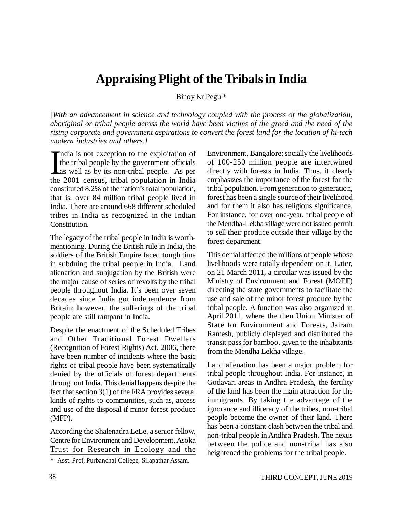### **Appraising Plight of the Tribals in India**

Binoy Kr Pegu \*

[*With an advancement in science and technology coupled with the process of the globalization, aboriginal or tribal people across the world have been victims of the greed and the need of the rising corporate and government aspirations to convert the forest land for the location of hi-tech modern industries and others.]*

 $\prod_{\text{the}}$ ndia is not exception to the exploitation of the tribal people by the government officials as well as by its non-tribal people. As per the 2001 census, tribal population in India constituted 8.2% of the nation's total population, that is, over 84 million tribal people lived in India. There are around 668 different scheduled tribes in India as recognized in the Indian Constitution.

The legacy of the tribal people in India is worthmentioning. During the British rule in India, the soldiers of the British Empire faced tough time in subduing the tribal people in India. Land alienation and subjugation by the British were the major cause of series of revolts by the tribal people throughout India. It's been over seven decades since India got independence from Britain; however, the sufferings of the tribal people are still rampant in India.

Despite the enactment of the Scheduled Tribes and Other Traditional Forest Dwellers (Recognition of Forest Rights) Act, 2006, there have been number of incidents where the basic rights of tribal people have been systematically denied by the officials of forest departments throughout India. This denial happens despite the fact that section 3(1) of the FRA provides several kinds of rights to communities, such as, access and use of the disposal if minor forest produce (MFP).

According the Shalenadra LeLe, a senior fellow, Centre for Environment and Development, Asoka Trust for Research in Ecology and the Environment, Bangalore; socially the livelihoods of 100-250 million people are intertwined directly with forests in India. Thus, it clearly emphasizes the importance of the forest for the tribal population. From generation to generation, forest has been a single source of their livelihood and for them it also has religious significance. For instance, for over one-year, tribal people of the Mendha-Lekha village were not issued permit to sell their produce outside their village by the forest department.

This denial affected the millions of people whose livelihoods were totally dependent on it. Later, on 21 March 2011, a circular was issued by the Ministry of Environment and Forest (MOEF) directing the state governments to facilitate the use and sale of the minor forest produce by the tribal people. A function was also organized in April 2011, where the then Union Minister of State for Environment and Forests, Jairam Ramesh, publicly displayed and distributed the transit pass for bamboo, given to the inhabitants from the Mendha Lekha village.

Land alienation has been a major problem for tribal people throughout India. For instance, in Godavari areas in Andhra Pradesh, the fertility of the land has been the main attraction for the immigrants. By taking the advantage of the ignorance and illiteracy of the tribes, non-tribal people become the owner of their land. There has been a constant clash between the tribal and non-tribal people in Andhra Pradesh. The nexus between the police and non-tribal has also heightened the problems for the tribal people.

<sup>\*</sup> Asst. Prof, Purbanchal College, Silapathar Assam.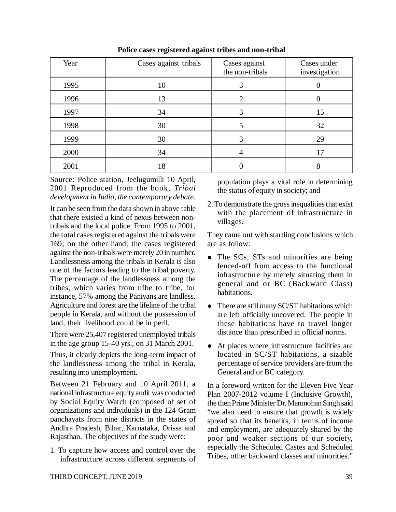| Year | Cases against tribals | Cases against<br>the non-tribals | Cases under<br>investigation |  |
|------|-----------------------|----------------------------------|------------------------------|--|
| 1995 | 10                    |                                  |                              |  |
| 1996 | 13                    | 2                                |                              |  |
| 1997 | 34                    |                                  | 15                           |  |
| 1998 | 30                    |                                  | 32                           |  |
| 1999 | 30                    |                                  | 29                           |  |
| 2000 | 34                    |                                  | 17                           |  |
| 2001 | 18                    |                                  | 8                            |  |

**Police cases registered against tribes and non-tribal**

Source: Police station, Jeelugumilli 10 April, 2001 Reproduced from the book, *Tribal development in India, the contemporary debate.*

It can be seen from the data shown in above table that there existed a kind of nexus between nontribals and the local police. From 1995 to 2001, the total cases registered against the tribals were 169; on the other hand, the cases registered against the non-tribals were merely 20 in number. Landlessness among the tribals in Kerala is also one of the factors leading to the tribal poverty. The percentage of the landlessness among the tribes, which varies from tribe to tribe, for instance, 57% among the Paniyans are landless. Agriculture and forest are the lifeline of the tribal people in Kerala, and without the possession of land, their livelihood could be in peril.

There were 25,407 registered unemployed tribals in the age group 15-40 yrs., on 31 March 2001.

Thus, it clearly depicts the long-term impact of the landlessness among the tribal in Kerala, resulting into unemployment.

Between 21 February and 10 April 2011, a national infrastructure equity audit was conducted by Social Equity Watch (composed of set of organizations and individuals) in the 124 Gram panchayats from nine districts in the states of Andhra Pradesh, Bihar, Karnataka, Orissa and Rajasthan. The objectives of the study were:

1. To capture how access and control over the infrastructure across different segments of

population plays a vital role in determining the status of equity in society; and

2. To demonstrate the gross inequalities that exist with the placement of infrastructure in villages.

They came out with startling conclusions which are as follow:

- The SCs, STs and minorities are being fenced-off from access to the functional infrastructure by merely situating them in general and or BC (Backward Class) habitations.
- There are still many SC/ST habitations which are left officially uncovered. The people in these habitations have to travel longer distance than prescribed in official norms.
- At places where infrastructure facilities are located in SC/ST habitations, a sizable percentage of service providers are from the General and or BC category.

In a foreword written for the Eleven Five Year Plan 2007-2012 volume I (Inclusive Growth), the then Prime Minister Dr. Manmohan Singh said "we also need to ensure that growth is widely spread so that its benefits, in terms of income and employment, are adequately shared by the poor and weaker sections of our society, especially the Scheduled Castes and Scheduled Tribes, other backward classes and minorities."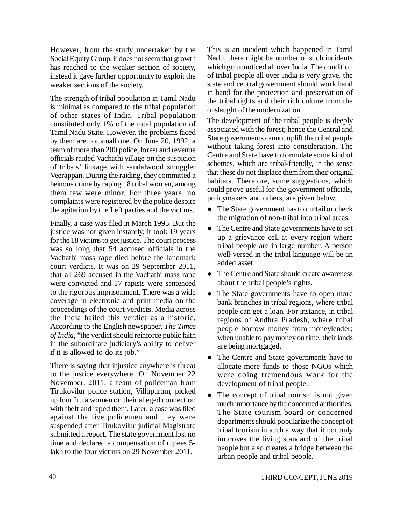However, from the study undertaken by the Social Equity Group, it does not seem that growth has reached to the weaker section of society, instead it gave further opportunity to exploit the weaker sections of the society.

The strength of tribal population in Tamil Nadu is minimal as compared to the tribal population of other states of India. Tribal population constituted only 1% of the total population of Tamil Nadu State. However, the problems faced by them are not small one. On June 20, 1992, a team of more than 200 police, forest and revenue officials raided Vachathi village on the suspicion of tribals' linkage with sandalwood smuggler Veerappan. During the raiding, they committed a heinous crime by raping 18 tribal women, among them few were minor. For three years, no complaints were registered by the police despite the agitation by the Left parties and the victims.

Finally, a case was filed in March 1995. But the justice was not given instantly; it took 19 years for the 18 victims to get justice. The court process was so long that 54 accused officials in the Vachathi mass rape died before the landmark court verdicts. It was on 29 September 2011, that all 269 accused in the Vachathi mass rape were convicted and 17 rapists were sentenced to the rigorous imprisonment. There was a wide coverage in electronic and print media on the proceedings of the court verdicts. Media across the India hailed this verdict as a historic. According to the English newspaper, *The Times of India*, "the verdict should reinforce public faith in the subordinate judiciary's ability to deliver if it is allowed to do its job."

There is saying that injustice anywhere is threat to the justice everywhere. On November 22 November, 2011, a team of policeman from Tirukovilur police station, Villupuram, picked up four Irula women on their alleged connection with theft and raped them. Later, a case was filed against the five policemen and they were suspended after Tirukovilur judicial Magistrate submitted a report. The state government lost no time and declared a compensation of rupees 5 lakh to the four victims on 29 November 2011.

This is an incident which happened in Tamil Nadu, there might be number of such incidents which go unnoticed all over India. The condition of tribal people all over India is very grave, the state and central government should work hand in hand for the protection and preservation of the tribal rights and their rich culture from the onslaught of the modernization.

The development of the tribal people is deeply associated with the forest; hence the Central and State governments cannot uplift the tribal people without taking forest into consideration. The Centre and State have to formulate some kind of schemes, which are tribal-friendly, in the sense that these do not displace them from their original habitats. Therefore, some suggestions, which could prove useful for the government officials, policymakers and others, are given below.

- The State government has to curtail or check the migration of non-tribal into tribal areas.
- The Centre and State governments have to set up a grievance cell at every region where tribal people are in large number. A person well-versed in the tribal language will be an added asset.
- The Centre and State should create awareness about the tribal people's rights.
- The State governments have to open more bank branches in tribal regions, where tribal people can get a loan. For instance, in tribal regions of Andhra Pradesh, where tribal people borrow money from moneylender; when unable to pay money on time, their lands are being mortgaged.
- The Centre and State governments have to allocate more funds to those NGOs which were doing tremendous work for the development of tribal people.
- The concept of tribal tourism is not given much importance by the concerned authorities. The State tourism board or concerned departments should popularize the concept of tribal tourism in such a way that it not only improves the living standard of the tribal people but also creates a bridge between the urban people and tribal people.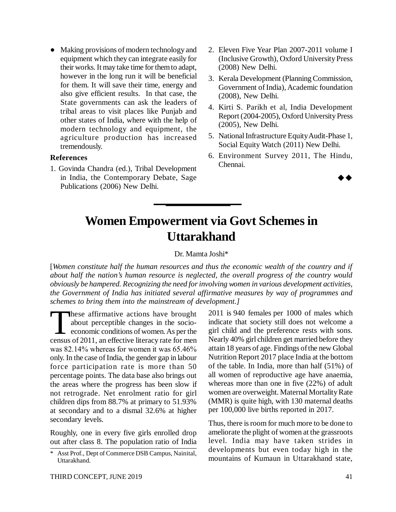• Making provisions of modern technology and equipment which they can integrate easily for their works. It may take time for them to adapt, however in the long run it will be beneficial for them. It will save their time, energy and also give efficient results. In that case, the State governments can ask the leaders of tribal areas to visit places like Punjab and other states of India, where with the help of modern technology and equipment, the agriculture production has increased tremendously.

#### **References**

1. Govinda Chandra (ed.), Tribal Development in India, the Contemporary Debate, Sage Publications (2006) New Delhi.

- 2. Eleven Five Year Plan 2007-2011 volume I (Inclusive Growth), Oxford University Press (2008) New Delhi.
- 3. Kerala Development (Planning Commission, Government of India), Academic foundation (2008), New Delhi.
- 4. Kirti S. Parikh et al, India Development Report (2004-2005), Oxford University Press (2005), New Delhi.
- 5. National Infrastructure Equity Audit-Phase 1, Social Equity Watch (2011) New Delhi.
- 6. Environment Survey 2011, The Hindu, Chennai.

 $\rightarrow \rightarrow$ 

# **Women Empowerment via Govt Schemes in Uttarakhand**

#### Dr. Mamta Joshi\*

[*Women constitute half the human resources and thus the economic wealth of the country and if about half the nation's human resource is neglected, the overall progress of the country would obviously be hampered. Recognizing the need for involving women in various development activities, the Government of India has initiated several affirmative measures by way of programmes and schemes to bring them into the mainstream of development.]*

These affirmative actions have brought<br>about perceptible changes in the socio-<br>economic conditions of women. As per the<br>census of 2011, an effective literacy rate for men These affirmative actions have brought about perceptible changes in the socioeconomic conditions of women. As per the was 82.14% whereas for women it was 65.46% only. In the case of India, the gender gap in labour force participation rate is more than 50 percentage points. The data base also brings out the areas where the progress has been slow if not retrograde. Net enrolment ratio for girl children dips from 88.7% at primary to 51.93% at secondary and to a dismal 32.6% at higher secondary levels.

Roughly, one in every five girls enrolled drop out after class 8. The population ratio of India 2011 is 940 females per 1000 of males which indicate that society still does not welcome a girl child and the preference rests with sons. Nearly 40% girl children get married before they attain 18 years of age. Findings of the new Global Nutrition Report 2017 place India at the bottom of the table. In India, more than half (51%) of all women of reproductive age have anaemia, whereas more than one in five (22%) of adult women are overweight. Maternal Mortality Rate (MMR) is quite high, with 130 maternal deaths per 100,000 live births reported in 2017.

Thus, there is room for much more to be done to ameliorate the plight of women at the grassroots level. India may have taken strides in developments but even today high in the mountains of Kumaun in Uttarakhand state,

<sup>\*</sup> Asst Prof., Dept of Commerce DSB Campus, Nainital, Uttarakhand.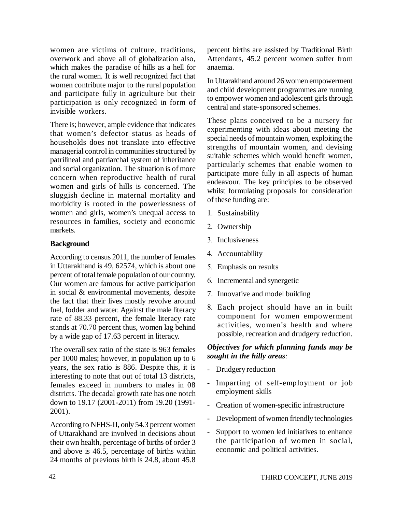women are victims of culture, traditions, overwork and above all of globalization also, which makes the paradise of hills as a hell for the rural women. It is well recognized fact that women contribute major to the rural population and participate fully in agriculture but their participation is only recognized in form of invisible workers.

There is; however, ample evidence that indicates that women's defector status as heads of households does not translate into effective managerial control in communities structured by patrilineal and patriarchal system of inheritance and social organization. The situation is of more concern when reproductive health of rural women and girls of hills is concerned. The sluggish decline in maternal mortality and morbidity is rooted in the powerlessness of women and girls, women's unequal access to resources in families, society and economic markets.

#### **Background**

According to census 2011, the number of females in Uttarakhand is 49, 62574, which is about one percent of total female population of our country. Our women are famous for active participation in social & environmental movements, despite the fact that their lives mostly revolve around fuel, fodder and water. Against the male literacy rate of 88.33 percent, the female literacy rate stands at 70.70 percent thus, women lag behind by a wide gap of 17.63 percent in literacy.

The overall sex ratio of the state is 963 females per 1000 males; however, in population up to 6 years, the sex ratio is 886. Despite this, it is interesting to note that out of total 13 districts, females exceed in numbers to males in 08 districts. The decadal growth rate has one notch down to 19.17 (2001-2011) from 19.20 (1991- 2001).

According to NFHS-II, only 54.3 percent women of Uttarakhand are involved in decisions about their own health, percentage of births of order 3 and above is 46.5, percentage of births within 24 months of previous birth is 24.8, about 45.8 percent births are assisted by Traditional Birth Attendants, 45.2 percent women suffer from anaemia.

In Uttarakhand around 26 women empowerment and child development programmes are running to empower women and adolescent girls through central and state-sponsored schemes.

These plans conceived to be a nursery for experimenting with ideas about meeting the special needs of mountain women, exploiting the strengths of mountain women, and devising suitable schemes which would benefit women, particularly schemes that enable women to participate more fully in all aspects of human endeavour. The key principles to be observed whilst formulating proposals for consideration of these funding are:

- 1. Sustainability
- 2. Ownership
- 3. Inclusiveness
- 4. Accountability
- 5. Emphasis on results
- 6. Incremental and synergetic
- 7. Innovative and model building
- 8. Each project should have an in built component for women empowerment activities, women's health and where possible, recreation and drudgery reduction.

#### *Objectives for which planning funds may be sought in the hilly areas:*

- Drudgery reduction
- Imparting of self-employment or job employment skills
- Creation of women-specific infrastructure
- Development of women friendly technologies
- Support to women led initiatives to enhance the participation of women in social, economic and political activities.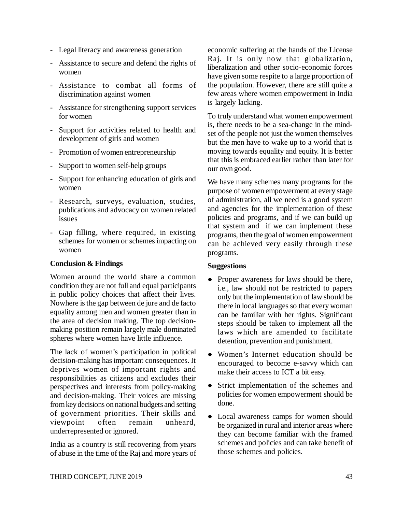- Legal literacy and awareness generation
- Assistance to secure and defend the rights of women
- Assistance to combat all forms of discrimination against women
- Assistance for strengthening support services for women
- Support for activities related to health and development of girls and women
- Promotion of women entrepreneurship
- Support to women self-help groups
- Support for enhancing education of girls and women
- Research, surveys, evaluation, studies, publications and advocacy on women related issues
- Gap filling, where required, in existing schemes for women or schemes impacting on women

#### **Conclusion & Findings**

Women around the world share a common condition they are not full and equal participants in public policy choices that affect their lives. Nowhere is the gap between de jure and de facto equality among men and women greater than in the area of decision making. The top decisionmaking position remain largely male dominated spheres where women have little influence.

The lack of women's participation in political decision-making has important consequences. It deprives women of important rights and responsibilities as citizens and excludes their perspectives and interests from policy-making and decision-making. Their voices are missing from key decisions on national budgets and setting of government priorities. Their skills and viewpoint often remain unheard, underrepresented or ignored.

India as a country is still recovering from years of abuse in the time of the Raj and more years of economic suffering at the hands of the License Raj. It is only now that globalization, liberalization and other socio-economic forces have given some respite to a large proportion of the population. However, there are still quite a few areas where women empowerment in India is largely lacking.

To truly understand what women empowerment is, there needs to be a sea-change in the mindset of the people not just the women themselves but the men have to wake up to a world that is moving towards equality and equity. It is better that this is embraced earlier rather than later for our own good.

We have many schemes many programs for the purpose of women empowerment at every stage of administration, all we need is a good system and agencies for the implementation of these policies and programs, and if we can build up that system and if we can implement these programs, then the goal of women empowerment can be achieved very easily through these programs.

#### **Suggestions**

- Proper awareness for laws should be there, i.e., law should not be restricted to papers only but the implementation of law should be there in local languages so that every woman can be familiar with her rights. Significant steps should be taken to implement all the laws which are amended to facilitate detention, prevention and punishment.
- Women's Internet education should be encouraged to become e-savvy which can make their access to ICT a bit easy.
- Strict implementation of the schemes and policies for women empowerment should be done.
- Local awareness camps for women should be organized in rural and interior areas where they can become familiar with the framed schemes and policies and can take benefit of those schemes and policies.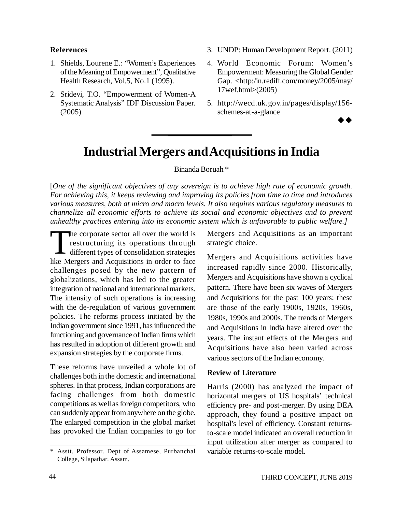#### **References**

- 1. Shields, Lourene E.: "Women's Experiences of the Meaning of Empowerment", Qualitative Health Research, Vol.5, No.1 (1995).
- 2. Sridevi, T.O. "Empowerment of Women-A Systematic Analysis" IDF Discussion Paper. (2005)
- 3. UNDP: Human Development Report. (2011)
- 4. World Economic Forum: Women's Empowerment: Measuring the Global Gender Gap. <http:/in.rediff.com/money/2005/may/ 17wef.html>(2005)
- 5. [http://wecd.uk.gov.in/pages/display/156](http://wecd.uk.gov.in/pages/display/156-) schemes-at-a-glance

 $\rightarrow \rightarrow$ 

### **Industrial Mergers and Acquisitions in India**

#### Binanda Boruah \*

[*One of the significant objectives of any sovereign is to achieve high rate of economic growth. For achieving this, it keeps reviewing and improving its policies from time to time and introduces various measures, both at micro and macro levels. It also requires various regulatory measures to channelize all economic efforts to achieve its social and economic objectives and to prevent unhealthy practices entering into its economic system which is unfavorable to public welfare.]*

The corporate sector all over the world is<br>restructuring its operations through<br>different types of consolidation strategies<br>like Mergers and Acquisitions in order to face he corporate sector all over the world is restructuring its operations through  $\overline{\mathsf{L}}$  different types of consolidation strategies challenges posed by the new pattern of globalizations, which has led to the greater integration of national and international markets. The intensity of such operations is increasing with the de-regulation of various government policies. The reforms process initiated by the Indian government since 1991, has influenced the functioning and governance of Indian firms which has resulted in adoption of different growth and expansion strategies by the corporate firms.

These reforms have unveiled a whole lot of challenges both in the domestic and international spheres. In that process, Indian corporations are facing challenges from both domestic competitions as well as foreign competitors, who can suddenly appear from anywhere on the globe. The enlarged competition in the global market has provoked the Indian companies to go for

Mergers and Acquisitions as an important strategic choice.

Mergers and Acquisitions activities have increased rapidly since 2000. Historically, Mergers and Acquisitions have shown a cyclical pattern. There have been six waves of Mergers and Acquisitions for the past 100 years; these are those of the early 1900s, 1920s, 1960s, 1980s, 1990s and 2000s. The trends of Mergers and Acquisitions in India have altered over the years. The instant effects of the Mergers and Acquisitions have also been varied across various sectors of the Indian economy.

#### **Review of Literature**

Harris (2000) has analyzed the impact of horizontal mergers of US hospitals' technical efficiency pre- and post-merger. By using DEA approach, they found a positive impact on hospital's level of efficiency. Constant returnsto-scale model indicated an overall reduction in input utilization after merger as compared to variable returns-to-scale model.

<sup>\*</sup> Asstt. Professor. Dept of Assamese, Purbanchal College, Silapathar. Assam.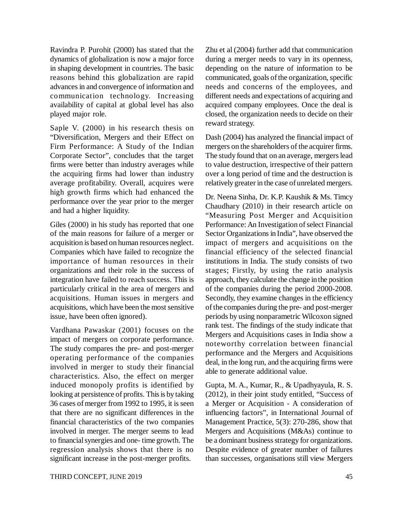Ravindra P. Purohit (2000) has stated that the dynamics of globalization is now a major force in shaping development in countries. The basic reasons behind this globalization are rapid advances in and convergence of information and communication technology. Increasing availability of capital at global level has also played major role.

Saple V. (2000) in his research thesis on "Diversification, Mergers and their Effect on Firm Performance: A Study of the Indian Corporate Sector", concludes that the target firms were better than industry averages while the acquiring firms had lower than industry average profitability. Overall, acquires were high growth firms which had enhanced the performance over the year prior to the merger and had a higher liquidity.

Giles (2000) in his study has reported that one of the main reasons for failure of a merger or acquisition is based on human resources neglect. Companies which have failed to recognize the importance of human resources in their organizations and their role in the success of integration have failed to reach success. This is particularly critical in the area of mergers and acquisitions. Human issues in mergers and acquisitions, which have been the most sensitive issue, have been often ignored).

Vardhana Pawaskar (2001) focuses on the impact of mergers on corporate performance. The study compares the pre- and post-merger operating performance of the companies involved in merger to study their financial characteristics. Also, the effect on merger induced monopoly profits is identified by looking at persistence of profits. This is by taking 36 cases of merger from 1992 to 1995, it is seen that there are no significant differences in the financial characteristics of the two companies involved in merger. The merger seems to lead to financial synergies and one- time growth. The regression analysis shows that there is no significant increase in the post-merger profits.

Zhu et al (2004) further add that communication during a merger needs to vary in its openness, depending on the nature of information to be communicated, goals of the organization, specific needs and concerns of the employees, and different needs and expectations of acquiring and acquired company employees. Once the deal is closed, the organization needs to decide on their reward strategy.

Dash (2004) has analyzed the financial impact of mergers on the shareholders of the acquirer firms. The study found that on an average, mergers lead to value destruction, irrespective of their pattern over a long period of time and the destruction is relatively greater in the case of unrelated mergers.

Dr. Neena Sinha, Dr. K.P. Kaushik & Ms. Timcy Chaudhary (2010) in their research article on "Measuring Post Merger and Acquisition Performance: An Investigation of select Financial Sector Organizations in India", have observed the impact of mergers and acquisitions on the financial efficiency of the selected financial institutions in India. The study consists of two stages; Firstly, by using the ratio analysis approach, they calculate the change in the position of the companies during the period 2000-2008. Secondly, they examine changes in the efficiency of the companies during the pre- and post-merger periods by using nonparametric Wilcoxon signed rank test. The findings of the study indicate that Mergers and Acquisitions cases in India show a noteworthy correlation between financial performance and the Mergers and Acquisitions deal, in the long run, and the acquiring firms were able to generate additional value.

Gupta, M. A., Kumar, R., & Upadhyayula, R. S. (2012), in their joint study entitled, "Success of a Merger or Acquisition - A consideration of influencing factors", in International Journal of Management Practice, 5(3): 270-286, show that Mergers and Acquisitions (M&As) continue to be a dominant business strategy for organizations. Despite evidence of greater number of failures than successes, organisations still view Mergers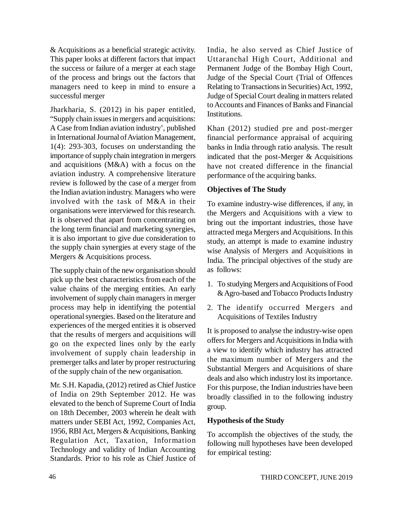& Acquisitions as a beneficial strategic activity. This paper looks at different factors that impact the success or failure of a merger at each stage of the process and brings out the factors that managers need to keep in mind to ensure a successful merger

Jharkharia, S. (2012) in his paper entitled, "Supply chain issues in mergers and acquisitions: A Case from Indian aviation industry', published in International Journal of Aviation Management, 1(4): 293-303, focuses on understanding the importance of supply chain integration in mergers and acquisitions (M&A) with a focus on the aviation industry. A comprehensive literature review is followed by the case of a merger from the Indian aviation industry. Managers who were involved with the task of M&A in their organisations were interviewed for this research. It is observed that apart from concentrating on the long term financial and marketing synergies, it is also important to give due consideration to the supply chain synergies at every stage of the Mergers & Acquisitions process.

The supply chain of the new organisation should pick up the best characteristics from each of the value chains of the merging entities. An early involvement of supply chain managers in merger process may help in identifying the potential operational synergies. Based on the literature and experiences of the merged entities it is observed that the results of mergers and acquisitions will go on the expected lines only by the early involvement of supply chain leadership in premerger talks and later by proper restructuring of the supply chain of the new organisation.

Mr. S.H. Kapadia, (2012) retired as Chief Justice of India on 29th September 2012. He was elevated to the bench of Supreme Court of India on 18th December, 2003 wherein he dealt with matters under SEBI Act, 1992, Companies Act, 1956, RBI Act, Mergers & Acquisitions, Banking Regulation Act, Taxation, Information Technology and validity of Indian Accounting Standards. Prior to his role as Chief Justice of India, he also served as Chief Justice of Uttaranchal High Court, Additional and Permanent Judge of the Bombay High Court, Judge of the Special Court (Trial of Offences Relating to Transactions in Securities) Act, 1992, Judge of Special Court dealing in matters related to Accounts and Finances of Banks and Financial Institutions.

Khan (2012) studied pre and post-merger financial performance appraisal of acquiring banks in India through ratio analysis. The result indicated that the post-Merger & Acquisitions have not created difference in the financial performance of the acquiring banks.

#### **Objectives of The Study**

To examine industry-wise differences, if any, in the Mergers and Acquisitions with a view to bring out the important industries, those have attracted mega Mergers and Acquisitions. In this study, an attempt is made to examine industry wise Analysis of Mergers and Acquisitions in India. The principal objectives of the study are as follows:

- 1. To studying Mergers and Acquisitions of Food & Agro-based and Tobacco Products Industry
- 2. The identify occurred Mergers and Acquisitions of Textiles Industry

It is proposed to analyse the industry-wise open offers for Mergers and Acquisitions in India with a view to identify which industry has attracted the maximum number of Mergers and the Substantial Mergers and Acquisitions of share deals and also which industry lost its importance. For this purpose, the Indian industries have been broadly classified in to the following industry group.

#### **Hypothesis of the Study**

To accomplish the objectives of the study, the following null hypotheses have been developed for empirical testing: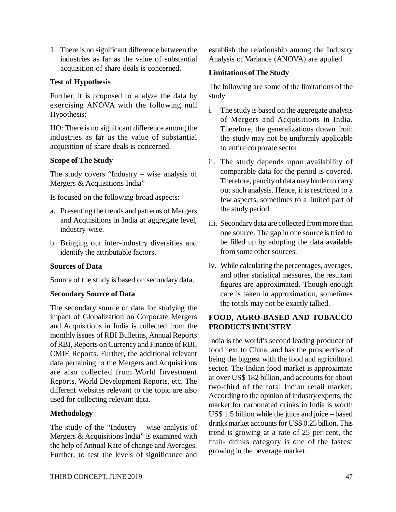1. There is no significant difference between the industries as far as the value of substantial acquisition of share deals is concerned.

#### **Test of Hypothesis**

Further, it is proposed to analyze the data by exercising ANOVA with the following null Hypothesis;

HO: There is no significant difference among the industries as far as the value of substantial acquisition of share deals is concerned.

#### **Scope of The Study**

The study covers "Industry – wise analysis of Mergers & Acquisitions India"

Is focused on the following broad aspects:

- a. Presenting the trends and patterns of Mergers and Acquisitions in India at aggregate level, industry-wise.
- b. Bringing out inter-industry diversities and identify the attributable factors.

#### **Sources of Data**

Source of the study is based on secondary data.

#### **Secondary Source of Data**

The secondary source of data for studying the impact of Globalization on Corporate Mergers and Acquisitions in India is collected from the monthly issues of RBI Bulletins, Annual Reports of RBI, Reports on Currency and Finance of RBI, CMIE Reports. Further, the additional relevant data pertaining to the Mergers and Acquisitions are also collected from World Investment Reports, World Development Reports, etc. The different websites relevant to the topic are also used for collecting relevant data.

#### **Methodology**

The study of the "Industry – wise analysis of Mergers & Acquisitions India" is examined with the help of Annual Rate of change and Averages. Further, to test the levels of significance and

establish the relationship among the Industry Analysis of Variance (ANOVA) are applied.

#### **Limitations of The Study**

The following are some of the limitations of the study:

- i. The study is based on the aggregate analysis of Mergers and Acquisitions in India. Therefore, the generalizations drawn from the study may not be uniformly applicable to entire corporate sector.
- ii. The study depends upon availability of comparable data for the period is covered. Therefore, paucity of data may hinder to carry out such analysis. Hence, it is restricted to a few aspects, sometimes to a limited part of the study period.
- iii. Secondary data are collected from more than one source. The gap in one source is tried to be filled up by adopting the data available from some other sources.
- iv. While calculating the percentages, averages, and other statistical measures, the resultant figures are approximated. Though enough care is taken in approximation, sometimes the totals may not be exactly tallied.

#### **FOOD, AGRO-BASED AND TOBACCO PRODUCTS INDUSTRY**

India is the world's second leading producer of food next to China, and has the prospective of being the biggest with the food and agricultural sector. The Indian food market is approximate at over US\$ 182 billion, and accounts for about two-third of the total Indian retail market. According to the opinion of industry experts, the market for carbonated drinks in India is worth US\$ 1.5 billion while the juice and juice – based drinks market accounts for US\$ 0.25 billion. This trend is growing at a rate of 25 per cent, the fruit- drinks category is one of the fastest growing in the beverage market.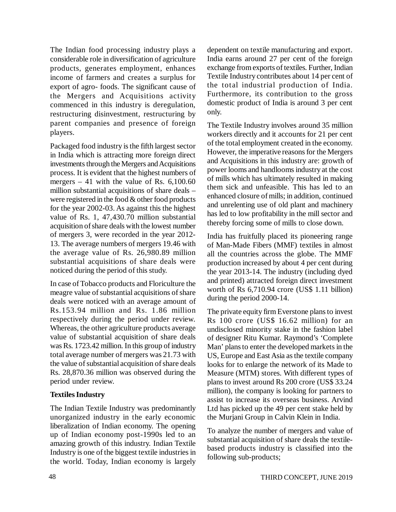The Indian food processing industry plays a considerable role in diversification of agriculture products, generates employment, enhances income of farmers and creates a surplus for export of agro- foods. The significant cause of the Mergers and Acquisitions activity commenced in this industry is deregulation, restructuring disinvestment, restructuring by parent companies and presence of foreign players.

Packaged food industry is the fifth largest sector in India which is attracting more foreign direct investments through the Mergers and Acquisitions process. It is evident that the highest numbers of mergers  $-41$  with the value of Rs. 6,100.60 million substantial acquisitions of share deals – were registered in the food & other food products for the year 2002-03. As against this the highest value of Rs. 1, 47,430.70 million substantial acquisition of share deals with the lowest number of mergers 3, were recorded in the year 2012- 13. The average numbers of mergers 19.46 with the average value of Rs. 26,980.89 million substantial acquisitions of share deals were noticed during the period of this study.

In case of Tobacco products and Floriculture the meagre value of substantial acquisitions of share deals were noticed with an average amount of Rs.153.94 million and Rs. 1.86 million respectively during the period under review. Whereas, the other agriculture products average value of substantial acquisition of share deals was Rs. 1723.42 million. In this group of industry total average number of mergers was 21.73 with the value of substantial acquisition of share deals Rs. 28,870.36 million was observed during the period under review.

#### **Textiles Industry**

The Indian Textile Industry was predominantly unorganized industry in the early economic liberalization of Indian economy. The opening up of Indian economy post-1990s led to an amazing growth of this industry. Indian Textile Industry is one of the biggest textile industries in the world. Today, Indian economy is largely dependent on textile manufacturing and export. India earns around 27 per cent of the foreign exchange from exports of textiles. Further, Indian Textile Industry contributes about 14 per cent of the total industrial production of India. Furthermore, its contribution to the gross domestic product of India is around 3 per cent only.

The Textile Industry involves around 35 million workers directly and it accounts for 21 per cent of the total employment created in the economy. However, the imperative reasons for the Mergers and Acquisitions in this industry are: growth of power looms and handlooms industry at the cost of mills which has ultimately resulted in making them sick and unfeasible. This has led to an enhanced closure of mills; in addition, continued and unrelenting use of old plant and machinery has led to low profitability in the mill sector and thereby forcing some of mills to close down.

India has fruitfully placed its pioneering range of Man-Made Fibers (MMF) textiles in almost all the countries across the globe. The MMF production increased by about 4 per cent during the year 2013-14. The industry (including dyed and printed) attracted foreign direct investment worth of Rs 6,710.94 crore (US\$ 1.11 billion) during the period 2000-14.

The private equity firm Everstone plans to invest Rs 100 crore (US\$ 16.62 million) for an undisclosed minority stake in the fashion label of designer Ritu Kumar. Raymond's 'Complete Man' plans to enter the developed markets in the US, Europe and East Asia as the textile company looks for to enlarge the network of its Made to Measure (MTM) stores. With different types of plans to invest around Rs 200 crore (US\$ 33.24 million), the company is looking for partners to assist to increase its overseas business. Arvind Ltd has picked up the 49 per cent stake held by the Murjani Group in Calvin Klein in India.

To analyze the number of mergers and value of substantial acquisition of share deals the textilebased products industry is classified into the following sub-products;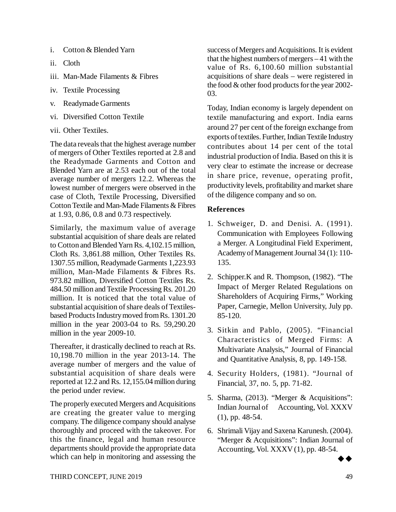- i. Cotton & Blended Yarn
- ii. Cloth
- iii. Man-Made Filaments & Fibres
- iv. Textile Processing
- v. Readymade Garments
- vi. Diversified Cotton Textile
- vii. Other Textiles.

The data reveals that the highest average number of mergers of Other Textiles reported at 2.8 and the Readymade Garments and Cotton and Blended Yarn are at 2.53 each out of the total average number of mergers 12.2. Whereas the lowest number of mergers were observed in the case of Cloth, Textile Processing, Diversified Cotton Textile and Man-Made Filaments & Fibres at 1.93, 0.86, 0.8 and 0.73 respectively.

Similarly, the maximum value of average substantial acquisition of share deals are related to Cotton and Blended Yarn Rs. 4,102.15 million, Cloth Rs. 3,861.88 million, Other Textiles Rs. 1307.55 million, Readymade Garments 1,223.93 million, Man-Made Filaments & Fibres Rs. 973.82 million, Diversified Cotton Textiles Rs. 484.50 million and Textile Processing Rs. 201.20 million. It is noticed that the total value of substantial acquisition of share deals of Textilesbased Products Industry moved from Rs. 1301.20 million in the year 2003-04 to Rs. 59,290.20 million in the year 2009-10.

Thereafter, it drastically declined to reach at Rs. 10,198.70 million in the year 2013-14. The average number of mergers and the value of substantial acquisition of share deals were reported at 12.2 and Rs. 12,155.04 million during the period under review.

The properly executed Mergers and Acquisitions are creating the greater value to merging company. The diligence company should analyse thoroughly and proceed with the takeover. For this the finance, legal and human resource departments should provide the appropriate data which can help in monitoring and assessing the success of Mergers and Acquisitions. It is evident that the highest numbers of mergers – 41 with the value of Rs. 6,100.60 million substantial acquisitions of share deals – were registered in the food & other food products for the year 2002- 03.

Today, Indian economy is largely dependent on textile manufacturing and export. India earns around 27 per cent of the foreign exchange from exports of textiles. Further, Indian Textile Industry contributes about 14 per cent of the total industrial production of India. Based on this it is very clear to estimate the increase or decrease in share price, revenue, operating profit, productivity levels, profitability and market share of the diligence company and so on.

#### **References**

- 1. Schweiger, D. and Denisi. A. (1991). Communication with Employees Following a Merger. A Longitudinal Field Experiment, Academy of Management Journal 34 (1): 110- 135.
- 2. Schipper.K and R. Thompson, (1982). "The Impact of Merger Related Regulations on Shareholders of Acquiring Firms," Working Paper, Carnegie, Mellon University, July pp. 85-120.
- 3. Sitkin and Pablo, (2005). "Financial Characteristics of Merged Firms: A Multivariate Analysis," Journal of Financial and Quantitative Analysis, 8, pp. 149-158.
- 4. Security Holders, (1981). "Journal of Financial, 37, no. 5, pp. 71-82.
- 5. Sharma, (2013). "Merger & Acquisitions": Indian Journal of Accounting, Vol. XXXV (1), pp. 48-54.
- 6. Shrimali Vijay and Saxena Karunesh. (2004). "Merger & Acquisitions": Indian Journal of Accounting, Vol.  $XXXV(1)$ , pp. 48-54.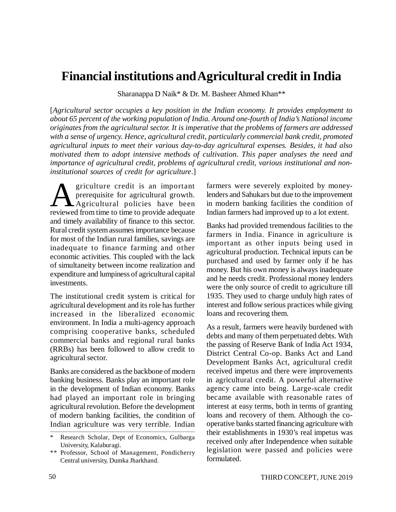### **Financial institutions and Agricultural credit in India**

Sharanappa D Naik\* & Dr. M. Basheer Ahmed Khan\*\*

[*Agricultural sector occupies a key position in the Indian economy. It provides employment to about 65 percent of the working population of India. Around one-fourth of India's National income originates from the agricultural sector. It is imperative that the problems of farmers are addressed with a sense of urgency. Hence, agricultural credit, particularly commercial bank credit, promoted agricultural inputs to meet their various day-to-day agricultural expenses. Besides, it had also motivated them to adopt intensive methods of cultivation. This paper analyses the need and importance of agricultural credit, problems of agricultural credit, various institutional and noninstitutional sources of credit for agriculture*.]

A griculture credit is an important<br>prerequisite for agricultural growth.<br>reviewed from time to time to provide adequate griculture credit is an important prerequisite for agricultural growth. Agricultural policies have been and timely availability of finance to this sector. Rural credit system assumes importance because for most of the Indian rural families, savings are inadequate to finance farming and other economic activities. This coupled with the lack of simultaneity between income realization and expenditure and lumpiness of agricultural capital investments.

The institutional credit system is critical for agricultural development and its role has further increased in the liberalized economic environment. In India a multi-agency approach comprising cooperative banks, scheduled commercial banks and regional rural banks (RRBs) has been followed to allow credit to agricultural sector.

Banks are considered as the backbone of modern banking business. Banks play an important role in the development of Indian economy. Banks had played an important role in bringing agricultural revolution. Before the development of modern banking facilities, the condition of Indian agriculture was very terrible. Indian

farmers were severely exploited by moneylenders and Sahukars but due to the improvement in modern banking facilities the condition of Indian farmers had improved up to a lot extent.

Banks had provided tremendous facilities to the farmers in India. Finance in agriculture is important as other inputs being used in agricultural production. Technical inputs can be purchased and used by farmer only if he has money. But his own money is always inadequate and he needs credit. Professional money lenders were the only source of credit to agriculture till 1935. They used to charge unduly high rates of interest and follow serious practices while giving loans and recovering them.

As a result, farmers were heavily burdened with debts and many of them perpetuated debts. With the passing of Reserve Bank of India Act 1934, District Central Co-op. Banks Act and Land Development Banks Act, agricultural credit received impetus and there were improvements in agricultural credit. A powerful alternative agency came into being. Large-scale credit became available with reasonable rates of interest at easy terms, both in terms of granting loans and recovery of them. Although the cooperative banks started financing agriculture with their establishments in 1930's real impetus was received only after Independence when suitable legislation were passed and policies were formulated.

Research Scholar, Dept of Economics, Gulbarga University, Kalaburagi.

<sup>\*\*</sup> Professor, School of Management, Pondicherry Central university, Dumka Jharkhand.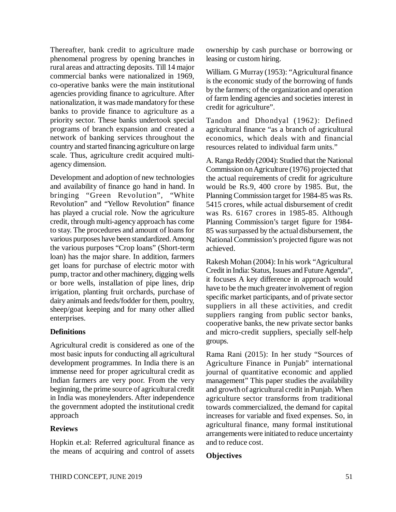Thereafter, bank credit to agriculture made phenomenal progress by opening branches in rural areas and attracting deposits. Till 14 major commercial banks were nationalized in 1969, co-operative banks were the main institutional agencies providing finance to agriculture. After nationalization, it was made mandatory for these banks to provide finance to agriculture as a priority sector. These banks undertook special programs of branch expansion and created a network of banking services throughout the country and started financing agriculture on large scale. Thus, agriculture credit acquired multiagency dimension.

Development and adoption of new technologies and availability of finance go hand in hand. In bringing "Green Revolution", "White Revolution" and "Yellow Revolution" finance has played a crucial role. Now the agriculture credit, through multi-agency approach has come to stay. The procedures and amount of loans for various purposes have been standardized. Among the various purposes "Crop loans" (Short-term loan) has the major share. In addition, farmers get loans for purchase of electric motor with pump, tractor and other machinery, digging wells or bore wells, installation of pipe lines, drip irrigation, planting fruit orchards, purchase of dairy animals and feeds/fodder for them, poultry, sheep/goat keeping and for many other allied enterprises.

#### **Definitions**

Agricultural credit is considered as one of the most basic inputs for conducting all agricultural development programmes. In India there is an immense need for proper agricultural credit as Indian farmers are very poor. From the very beginning, the prime source of agricultural credit in India was moneylenders. After independence the government adopted the institutional credit approach

#### **Reviews**

Hopkin et.al: Referred agricultural finance as the means of acquiring and control of assets ownership by cash purchase or borrowing or leasing or custom hiring.

William. G Murray (1953): "Agricultural finance is the economic study of the borrowing of funds by the farmers; of the organization and operation of farm lending agencies and societies interest in credit for agriculture".

Tandon and Dhondyal (1962): Defined agricultural finance "as a branch of agricultural economics, which deals with and financial resources related to individual farm units."

A. Ranga Reddy (2004): Studied that the National Commission on Agriculture (1976) projected that the actual requirements of credit for agriculture would be Rs.9, 400 crore by 1985. But, the Planning Commission target for 1984-85 was Rs. 5415 crores, while actual disbursement of credit was Rs. 6167 crores in 1985-85. Although Planning Commission's target figure for 1984- 85 was surpassed by the actual disbursement, the National Commission's projected figure was not achieved.

Rakesh Mohan (2004): In his work "Agricultural Credit in India: Status, Issues and Future Agenda", it focuses A key difference in approach would have to be the much greater involvement of region specific market participants, and of private sector suppliers in all these activities, and credit suppliers ranging from public sector banks, cooperative banks, the new private sector banks and micro-credit suppliers, specially self-help groups.

Rama Rani (2015): In her study "Sources of Agriculture Finance in Punjab" international journal of quantitative economic and applied management" This paper studies the availability and growth of agricultural credit in Punjab. When agriculture sector transforms from traditional towards commercialized, the demand for capital increases for variable and fixed expenses. So, in agricultural finance, many formal institutional arrangements were initiated to reduce uncertainty and to reduce cost.

#### **Objectives**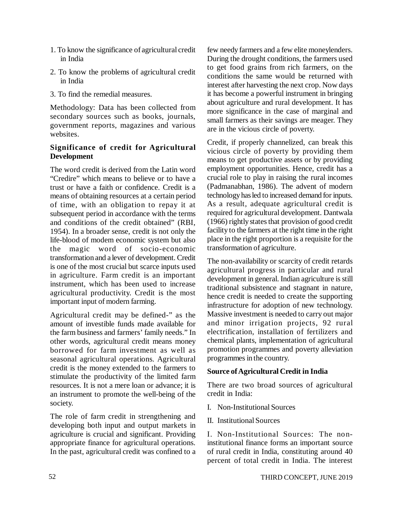- 1. To know the significance of agricultural credit in India
- 2. To know the problems of agricultural credit in India
- 3. To find the remedial measures.

Methodology: Data has been collected from secondary sources such as books, journals, government reports, magazines and various websites.

#### **Significance of credit for Agricultural Development**

The word credit is derived from the Latin word "Credire" which means to believe or to have a trust or have a faith or confidence. Credit is a means of obtaining resources at a certain period of time, with an obligation to repay it at subsequent period in accordance with the terms and conditions of the credit obtained" (RBI, 1954). In a broader sense, credit is not only the life-blood of modem economic system but also the magic word of socio-economic transformation and a lever of development. Credit is one of the most crucial but scarce inputs used in agriculture. Farm credit is an important instrument, which has been used to increase agricultural productivity. Credit is the most important input of modern farming.

Agricultural credit may be defined-" as the amount of investible funds made available for the farm business and farmers' family needs." In other words, agricultural credit means money borrowed for farm investment as well as seasonal agricultural operations. Agricultural credit is the money extended to the farmers to stimulate the productivity of the limited farm resources. It is not a mere loan or advance; it is an instrument to promote the well-being of the society.

The role of farm credit in strengthening and developing both input and output markets in agriculture is crucial and significant. Providing appropriate finance for agricultural operations. In the past, agricultural credit was confined to a few needy farmers and a few elite moneylenders. During the drought conditions, the farmers used to get food grains from rich farmers, on the conditions the same would be returned with interest after harvesting the next crop. Now days it has become a powerful instrument in bringing about agriculture and rural development. It has more significance in the case of marginal and small farmers as their savings are meager. They are in the vicious circle of poverty.

Credit, if properly channelized, can break this vicious circle of poverty by providing them means to get productive assets or by providing employment opportunities. Hence, credit has a crucial role to play in raising the rural incomes (Padmanabhan, 1986). The advent of modern technology has led to increased demand for inputs. As a result, adequate agricultural credit is required for agricultural development. Dantwala (1966) rightly states that provision of good credit facility to the farmers at the right time in the right place in the right proportion is a requisite for the transformation of agriculture.

The non-availability or scarcity of credit retards agricultural progress in particular and rural development in general. Indian agriculture is still traditional subsistence and stagnant in nature, hence credit is needed to create the supporting infrastructure for adoption of new technology. Massive investment is needed to carry out major and minor irrigation projects, 92 rural electrification, installation of fertilizers and chemical plants, implementation of agricultural promotion programmes and poverty alleviation programmes in the country.

#### **Source of Agricultural Credit in India**

There are two broad sources of agricultural credit in India:

- I. Non-Institutional Sources
- II. Institutional Sources

I. Non-Institutional Sources: The noninstitutional finance forms an important source of rural credit in India, constituting around 40 percent of total credit in India. The interest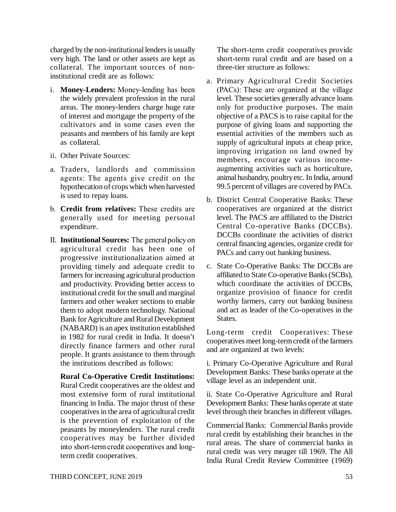charged by the non-institutional lenders is usually very high. The land or other assets are kept as collateral. The important sources of noninstitutional credit are as follows:

- i. **Money-Lenders:** Money-lending has been the widely prevalent profession in the rural areas. The money-lenders charge huge rate of interest and mortgage the property of the cultivators and in some cases even the peasants and members of his family are kept as collateral.
- ii. Other Private Sources:
- a. Traders, landlords and commission agents: The agents give credit on the hypothecation of crops which when harvested is used to repay loans.
- b. **Credit from relatives:** These credits are generally used for meeting personal expenditure.
- II. **Institutional Sources:** The general policy on agricultural credit has been one of progressive institutionalization aimed at providing timely and adequate credit to farmers for increasing agricultural production and productivity. Providing better access to institutional credit for the small and marginal farmers and other weaker sections to enable them to adopt modern technology. National Bank for Agriculture and Rural Development (NABARD) is an apex institution established in 1982 for rural credit in India. It doesn't directly finance farmers and other rural people. It grants assistance to them through the institutions described as follows:

**Rural Co-Operative Credit Institutions:** Rural Credit cooperatives are the oldest and most extensive form of rural institutional financing in India. The major thrust of these cooperatives in the area of agricultural credit is the prevention of exploitation of the peasants by moneylenders. The rural credit cooperatives may be further divided into short-term credit cooperatives and longterm credit cooperatives.

The short-term credit cooperatives provide short-term rural credit and are based on a three-tier structure as follows:

- a. Primary Agricultural Credit Societies (PACs): These are organized at the village level. These societies generally advance loans only for productive purposes. The main objective of a PACS is to raise capital for the purpose of giving loans and supporting the essential activities of the members such as supply of agricultural inputs at cheap price, improving irrigation on land owned by members, encourage various incomeaugmenting activities such as horticulture, animal husbandry, poultry etc. In India, around 99.5 percent of villages are covered by PACs.
- b. District Central Cooperative Banks: These cooperatives are organized at the district level. The PACS are affiliated to the District Central Co-operative Banks (DCCBs). DCCBs coordinate the activities of district central financing agencies, organize credit for PACs and carry out banking business.
- c. State Co-Operative Banks: The DCCBs are affiliated to State Co-operative Banks (SCBs), which coordinate the activities of DCCBs, organize provision of finance for credit worthy farmers, carry out banking business and act as leader of the Co-operatives in the States.

Long-term credit Cooperatives: These cooperatives meet long-term credit of the farmers and are organized at two levels:

i. Primary Co-Operative Agriculture and Rural Development Banks: These banks operate at the village level as an independent unit.

ii. State Co-Operative Agriculture and Rural Development Banks: These banks operate at state level through their branches in different villages.

Commercial Banks: Commercial Banks provide rural credit by establishing their branches in the rural areas. The share of commercial banks in rural credit was very meager till 1969. The All India Rural Credit Review Committee (1969)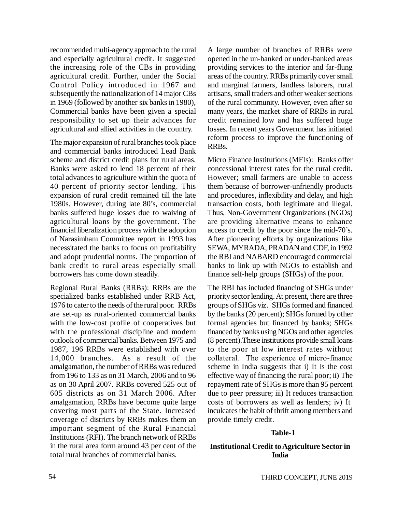recommended multi-agency approach to the rural and especially agricultural credit. It suggested the increasing role of the CBs in providing agricultural credit. Further, under the Social Control Policy introduced in 1967 and subsequently the nationalization of 14 major CBs in 1969 (followed by another six banks in 1980), Commercial banks have been given a special responsibility to set up their advances for agricultural and allied activities in the country.

The major expansion of rural branches took place and commercial banks introduced Lead Bank scheme and district credit plans for rural areas. Banks were asked to lend 18 percent of their total advances to agriculture within the quota of 40 percent of priority sector lending. This expansion of rural credit remained till the late 1980s. However, during late 80's, commercial banks suffered huge losses due to waiving of agricultural loans by the government. The financial liberalization process with the adoption of Narasimham Committee report in 1993 has necessitated the banks to focus on profitability and adopt prudential norms. The proportion of bank credit to rural areas especially small borrowers has come down steadily.

Regional Rural Banks (RRBs): RRBs are the specialized banks established under RRB Act, 1976 to cater to the needs of the rural poor. RRBs are set-up as rural-oriented commercial banks with the low-cost profile of cooperatives but with the professional discipline and modern outlook of commercial banks. Between 1975 and 1987, 196 RRBs were established with over 14,000 branches. As a result of the amalgamation, the number of RRBs was reduced from 196 to 133 as on 31 March, 2006 and to 96 as on 30 April 2007. RRBs covered 525 out of 605 districts as on 31 March 2006. After amalgamation, RRBs have become quite large covering most parts of the State. Increased coverage of districts by RRBs makes them an important segment of the Rural Financial Institutions (RFI). The branch network of RRBs in the rural area form around 43 per cent of the total rural branches of commercial banks.

A large number of branches of RRBs were opened in the un-banked or under-banked areas providing services to the interior and far-flung areas of the country. RRBs primarily cover small and marginal farmers, landless laborers, rural artisans, small traders and other weaker sections of the rural community. However, even after so many years, the market share of RRBs in rural credit remained low and has suffered huge losses. In recent years Government has initiated reform process to improve the functioning of RRBs.

Micro Finance Institutions (MFIs): Banks offer concessional interest rates for the rural credit. However; small farmers are unable to access them because of borrower-unfriendly products and procedures, inflexibility and delay, and high transaction costs, both legitimate and illegal. Thus, Non-Government Organizations (NGOs) are providing alternative means to enhance access to credit by the poor since the mid-70's. After pioneering efforts by organizations like SEWA, MYRADA, PRADAN and CDF, in 1992 the RBI and NABARD encouraged commercial banks to link up with NGOs to establish and finance self-help groups (SHGs) of the poor.

The RBI has included financing of SHGs under priority sector lending. At present, there are three groups of SHGs viz. SHGs formed and financed by the banks (20 percent); SHGs formed by other formal agencies but financed by banks; SHGs financed by banks using NGOs and other agencies (8 percent).These institutions provide small loans to the poor at low interest rates without collateral. The experience of micro-finance scheme in India suggests that i) It is the cost effective way of financing the rural poor; ii) The repayment rate of SHGs is more than 95 percent due to peer pressure; iii) It reduces transaction costs of borrowers as well as lenders; iv) It inculcates the habit of thrift among members and provide timely credit.

#### **Table-1**

#### **Institutional Credit to Agriculture Sector in India**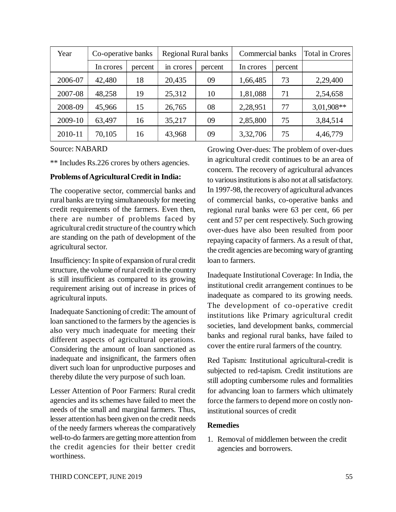| Year    | Co-operative banks |         | <b>Regional Rural banks</b> |         | Commercial banks |         | Total in Crores |
|---------|--------------------|---------|-----------------------------|---------|------------------|---------|-----------------|
|         | In crores          | percent | in crores                   | percent | In crores        | percent |                 |
| 2006-07 | 42,480             | 18      | 20,435                      | 09      | 1,66,485         | 73      | 2,29,400        |
| 2007-08 | 48,258             | 19      | 25,312                      | 10      | 1,81,088         | 71      | 2,54,658        |
| 2008-09 | 45,966             | 15      | 26,765                      | 08      | 2,28,951         | 77      | 3,01,908**      |
| 2009-10 | 63,497             | 16      | 35,217                      | 09      | 2,85,800         | 75      | 3,84,514        |
| 2010-11 | 70,105             | 16      | 43,968                      | 09      | 3,32,706         | 75      | 4,46,779        |

Source: NABARD

\*\* Includes Rs.226 crores by others agencies.

#### **Problems of Agricultural Credit in India:**

The cooperative sector, commercial banks and rural banks are trying simultaneously for meeting credit requirements of the farmers. Even then, there are number of problems faced by agricultural credit structure of the country which are standing on the path of development of the agricultural sector.

Insufficiency: In spite of expansion of rural credit structure, the volume of rural credit in the country is still insufficient as compared to its growing requirement arising out of increase in prices of agricultural inputs.

Inadequate Sanctioning of credit: The amount of loan sanctioned to the farmers by the agencies is also very much inadequate for meeting their different aspects of agricultural operations. Considering the amount of loan sanctioned as inadequate and insignificant, the farmers often divert such loan for unproductive purposes and thereby dilute the very purpose of such loan.

Lesser Attention of Poor Farmers: Rural credit agencies and its schemes have failed to meet the needs of the small and marginal farmers. Thus, lesser attention has been given on the credit needs of the needy farmers whereas the comparatively well-to-do farmers are getting more attention from the credit agencies for their better credit worthiness.

Growing Over-dues: The problem of over-dues in agricultural credit continues to be an area of concern. The recovery of agricultural advances to various institutions is also not at all satisfactory. In 1997-98, the recovery of agricultural advances of commercial banks, co-operative banks and regional rural banks were 63 per cent, 66 per cent and 57 per cent respectively. Such growing over-dues have also been resulted from poor repaying capacity of farmers. As a result of that, the credit agencies are becoming wary of granting loan to farmers.

Inadequate Institutional Coverage: In India, the institutional credit arrangement continues to be inadequate as compared to its growing needs. The development of co-operative credit institutions like Primary agricultural credit societies, land development banks, commercial banks and regional rural banks, have failed to cover the entire rural farmers of the country.

Red Tapism: Institutional agricultural-credit is subjected to red-tapism. Credit institutions are still adopting cumbersome rules and formalities for advancing loan to farmers which ultimately force the farmers to depend more on costly noninstitutional sources of credit

#### **Remedies**

1. Removal of middlemen between the credit agencies and borrowers.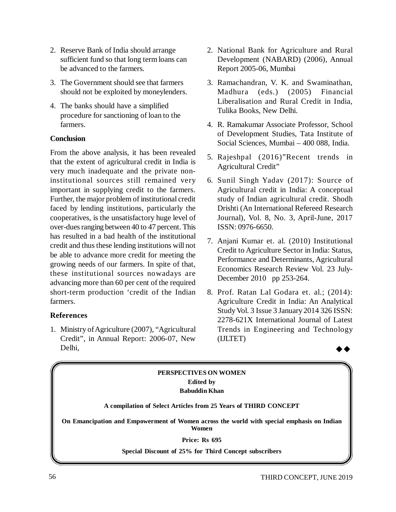- 2. Reserve Bank of India should arrange sufficient fund so that long term loans can be advanced to the farmers.
- 3. The Government should see that farmers should not be exploited by moneylenders.
- 4. The banks should have a simplified procedure for sanctioning of loan to the farmers.

#### **Conclusion**

From the above analysis, it has been revealed that the extent of agricultural credit in India is very much inadequate and the private noninstitutional sources still remained very important in supplying credit to the farmers. Further, the major problem of institutional credit faced by lending institutions, particularly the cooperatives, is the unsatisfactory huge level of over-dues ranging between 40 to 47 percent. This has resulted in a bad health of the institutional credit and thus these lending institutions will not be able to advance more credit for meeting the growing needs of our farmers. In spite of that, these institutional sources nowadays are advancing more than 60 per cent of the required short-term production 'credit of the Indian farmers.

#### **References**

1. Ministry of Agriculture (2007), "Agricultural Credit", in Annual Report: 2006-07, New Delhi,

- 2. National Bank for Agriculture and Rural Development (NABARD) (2006), Annual Report 2005-06, Mumbai
- 3. Ramachandran, V. K. and Swaminathan, Madhura (eds.) (2005) Financial Liberalisation and Rural Credit in India, Tulika Books, New Delhi.
- 4. R. Ramakumar Associate Professor, School of Development Studies, Tata Institute of Social Sciences, Mumbai – 400 088, India.
- 5. Rajeshpal (2016)"Recent trends in Agricultural Credit"
- 6. Sunil Singh Yadav (2017): Source of Agricultural credit in India: A conceptual study of Indian agricultural credit. Shodh Drishti (An International Refereed Research Journal), Vol. 8, No. 3, April-June, 2017 ISSN: 0976-6650.
- 7. Anjani Kumar et. al. (2010) Institutional Credit to Agriculture Sector in India: Status, Performance and Determinants, Agricultural Economics Research Review Vol. 23 July-December 2010 pp 253-264.
- 8. Prof. Ratan Lal Godara et. al.; (2014): Agriculture Credit in India: An Analytical Study Vol. 3 Issue 3 January 2014 326 ISSN: 2278-621X International Journal of Latest Trends in Engineering and Technology (IJLTET)



#### **PERSPECTIVES ON WOMEN Edited by Babuddin Khan**

**A compilation of Select Articles from 25 Years of THIRD CONCEPT**

**On Emancipation and Empowerment of Women across the world with special emphasis on Indian Women**

#### **Price: Rs 695**

**Special Discount of 25% for Third Concept subscribers**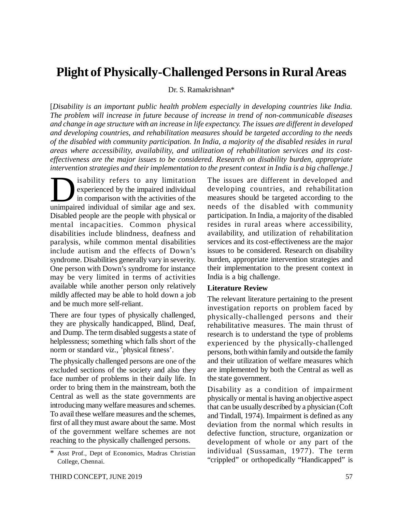### **Plight of Physically-Challenged Persons in Rural Areas**

Dr. S. Ramakrishnan\*

[*Disability is an important public health problem especially in developing countries like India. The problem will increase in future because of increase in trend of non-communicable diseases and change in age structure with an increase in life expectancy. The issues are different in developed and developing countries, and rehabilitation measures should be targeted according to the needs of the disabled with community participation. In India, a majority of the disabled resides in rural areas where accessibility, availability, and utilization of rehabilitation services and its costeffectiveness are the major issues to be considered. Research on disability burden, appropriate intervention strategies and their implementation to the present context in India is a big challenge.]*

is ability refers to any limitation experienced by the impaired individual in comparison with the activities of the unimpaired individual of similar age and sex. isability refers to any limitation experienced by the impaired individual in comparison with the activities of the Disabled people are the people with physical or mental incapacities. Common physical disabilities include blindness, deafness and paralysis, while common mental disabilities include autism and the effects of Down's syndrome. Disabilities generally vary in severity. One person with Down's syndrome for instance may be very limited in terms of activities available while another person only relatively mildly affected may be able to hold down a job and be much more self-reliant.

There are four types of physically challenged, they are physically handicapped, Blind, Deaf, and Dump. The term disabled suggests a state of helplessness; something which falls short of the norm or standard viz., 'physical fitness'.

The physically challenged persons are one of the excluded sections of the society and also they face number of problems in their daily life. In order to bring them in the mainstream, both the Central as well as the state governments are introducing many welfare measures and schemes. To avail these welfare measures and the schemes, first of all they must aware about the same. Most of the government welfare schemes are not reaching to the physically challenged persons.

The issues are different in developed and developing countries, and rehabilitation measures should be targeted according to the needs of the disabled with community participation. In India, a majority of the disabled resides in rural areas where accessibility, availability, and utilization of rehabilitation services and its cost-effectiveness are the major issues to be considered. Research on disability burden, appropriate intervention strategies and their implementation to the present context in India is a big challenge.

#### **Literature Review**

The relevant literature pertaining to the present investigation reports on problem faced by physically-challenged persons and their rehabilitative measures. The main thrust of research is to understand the type of problems experienced by the physically-challenged persons, both within family and outside the family and their utilization of welfare measures which are implemented by both the Central as well as the state government.

Disability as a condition of impairment physically or mental is having an objective aspect that can be usually described by a physician (Coft and Tindall, 1974). Impairment is defined as any deviation from the normal which results in defective function, structure, organization or development of whole or any part of the individual (Sussaman, 1977). The term "crippled" or orthopedically "Handicapped" is

<sup>\*</sup> Asst Prof., Dept of Economics, Madras Christian College, Chennai.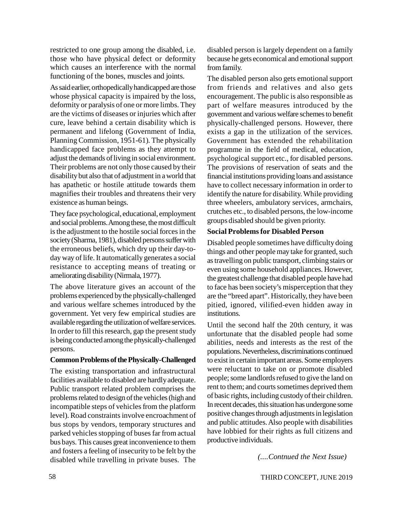restricted to one group among the disabled, i.e. those who have physical defect or deformity which causes an interference with the normal functioning of the bones, muscles and joints.

As said earlier, orthopedically handicapped are those whose physical capacity is impaired by the loss, deformity or paralysis of one or more limbs. They are the victims of diseases or injuries which after cure, leave behind a certain disability which is permanent and lifelong (Government of India, Planning Commission, 1951-61). The physically handicapped face problems as they attempt to adjust the demands of living in social environment. Their problems are not only those caused by their disability but also that of adjustment in a world that has apathetic or hostile attitude towards them magnifies their troubles and threatens their very existence as human beings.

They face psychological, educational, employment and social problems. Among these, the most difficult is the adjustment to the hostile social forces in the society (Sharma, 1981), disabled persons suffer with the erroneous beliefs, which dry up their day-today way of life. It automatically generates a social resistance to accepting means of treating or ameliorating disability (Nirmala, 1977).

The above literature gives an account of the problems experienced by the physically-challenged and various welfare schemes introduced by the government. Yet very few empirical studies are available regarding the utilization of welfare services. In order to fill this research, gap the present study is being conducted among the physically-challenged persons.

#### **Common Problems of the Physically-Challenged**

The existing transportation and infrastructural facilities available to disabled are hardly adequate. Public transport related problem comprises the problems related to design of the vehicles (high and incompatible steps of vehicles from the platform level). Road constraints involve encroachment of bus stops by vendors, temporary structures and parked vehicles stopping of buses far from actual bus bays. This causes great inconvenience to them and fosters a feeling of insecurity to be felt by the disabled while travelling in private buses. The

disabled person is largely dependent on a family because he gets economical and emotional support from family.

The disabled person also gets emotional support from friends and relatives and also gets encouragement. The public is also responsible as part of welfare measures introduced by the government and various welfare schemes to benefit physically-challenged persons. However, there exists a gap in the utilization of the services. Government has extended the rehabilitation programme in the field of medical, education, psychological support etc., for disabled persons. The provisions of reservation of seats and the financial institutions providing loans and assistance have to collect necessary information in order to identify the nature for disability. While providing three wheelers, ambulatory services, armchairs, crutches etc., to disabled persons, the low-income groups disabled should be given priority.

#### **Social Problems for Disabled Person**

Disabled people sometimes have difficulty doing things and other people may take for granted, such as travelling on public transport, climbing stairs or even using some household appliances. However, the greatest challenge that disabled people have had to face has been society's misperception that they are the "breed apart". Historically, they have been pitied, ignored, vilified-even hidden away in institutions.

Until the second half the 20th century, it was unfortunate that the disabled people had some abilities, needs and interests as the rest of the populations. Nevertheless, discriminations continued to exist in certain important areas. Some employers were reluctant to take on or promote disabled people; some landlords refused to give the land on rent to them; and courts sometimes deprived them of basic rights, including custody of their children. In recent decades, this situation has undergone some positive changes through adjustments in legislation and public attitudes. Also people with disabilities have lobbied for their rights as full citizens and productive individuals.

*(....Contnued the Next Issue)*